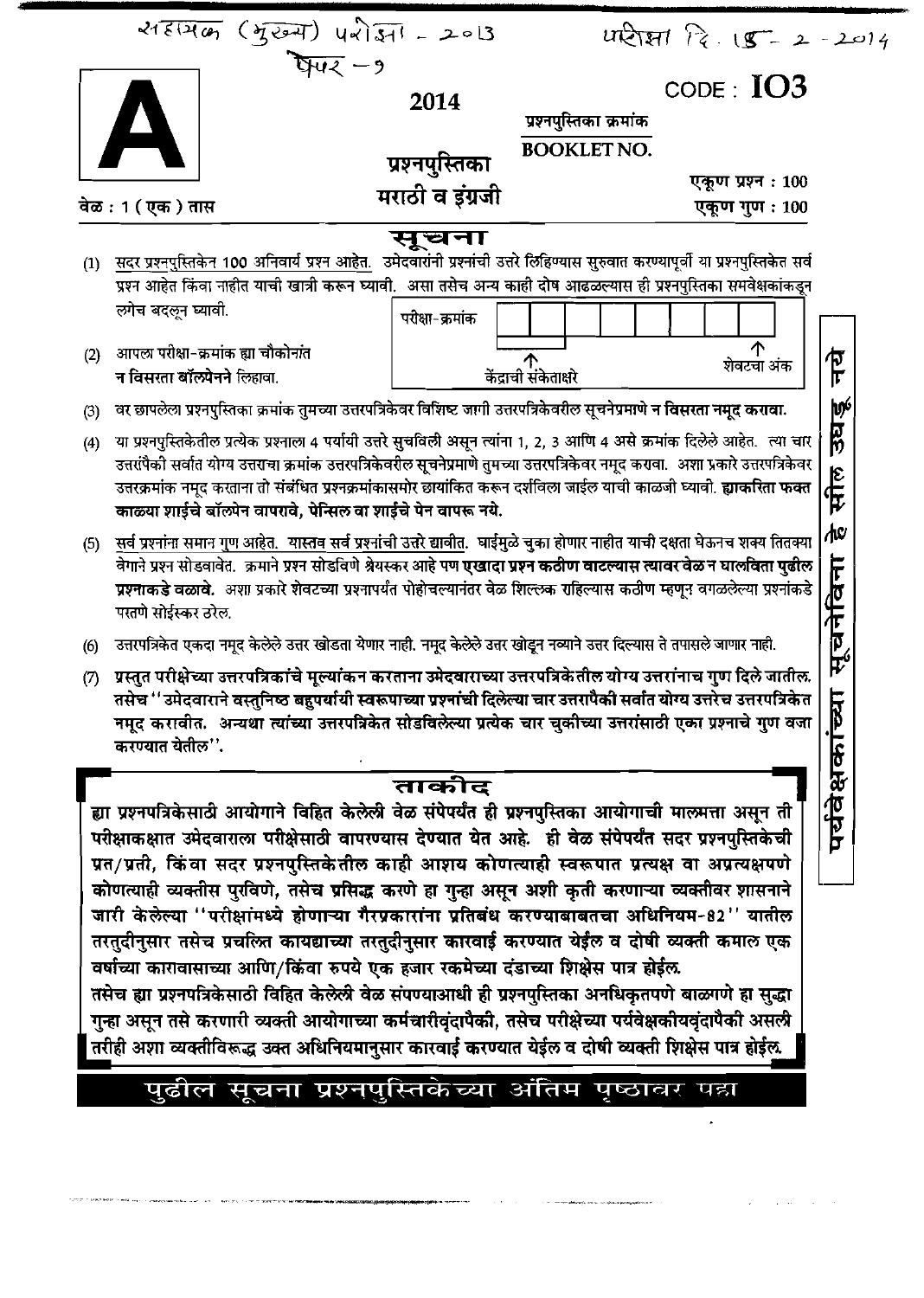| 218126 (जुरुम) परोज्ञा - 2013<br>$\text{CODE}: IO3$<br>2014<br>प्रश्नपुस्तिका क्रमांक<br><b>BOOKLET NO.</b><br>प्रश्नपुस्तिका<br>एकूण प्रश्न: 100<br>मराठी व इंग्रजी<br>वेळ : 1 ( एक ) तास<br>एकूण गुण : 100<br>सूचना<br>सदर प्रश्नपुस्तिकेन 100 अनिवार्य प्रश्न आहेत. उमेदवारांनी प्रश्नांची उत्तरे लिहिण्यास सुरुवात करण्यापूर्वी या प्रश्नपुस्तिकेत सर्व<br>(1)<br>प्रश्न आहेत किंवा नाहीत याची खात्री करून घ्यावी. असा तसेच अन्य काही दोष आढळल्यास ही प्रश्नपुस्तिका समवेक्षकांकडून<br>लगेच बदलून घ्यावी.<br>परीक्षा-क्रमांक<br>↑<br>आपला परीक्षा-क्रमांक ह्या चौकोनांत<br>(2)<br>乍<br>ौ<br>केंद्राची संकेताक्षरे<br>शेवटचा अंक<br>न विसरता बॉल्पेनने लिहावा.<br>उघडू<br>वर छापलेला प्रश्नपुस्तिका क्रमांक तुमच्या उत्तरपत्रिकेवर विशिष्ट जागी उत्तरपत्रिकेवरील सूचनेप्रमाणे न विसरता नमूद करावा.<br>(3)<br>या प्रश्नपुस्तिकेतील प्रत्येक प्रश्नाला 4 पर्यायी उत्तरे सुचविली असून त्यांना 1, 2, 3 आणि 4 असे क्रमांक दिलेले आहेत. त्या चार<br>(4)<br>उत्तरांपैकी सर्वात योग्य उत्तराचा क्रमांक उत्तरपत्रिकेवरील सूचनेप्रमाणे तुमच्या उत्तरपत्रिकेवर नमूद करावा.  अशा प्रकारे उत्तरपत्रिकेवर<br>सील<br>उत्तरक्रमांक नमूद करताना तो संबंधित प्रश्नक्रमांकासमोर छायांकित करून दर्शविला जाईल याची काळजी घ्यावी. <b>ह्याकरिता फक्त</b><br>काळ्या शाईचे बॉल्पेन वापरावे, पेन्सिल वा शाईचे पेन वापरू नये.<br>∕μα<br>सर्व प्रश्नांना समान गुण आहेत. यास्तव सर्व प्रश्नांची उत्तरे द्यावीत. घाईमुळे चुका होणार नाहीत याची दक्षता घेऊनच शक्य तितक्या<br>(5)<br>$\overline{\overline{r}}$<br>वेगाने प्रश्न सोडवावेत.  क्रमाने प्रश्न सोडविणे श्रेयस्कर आहे पण <b>एखादा प्रश्न कठीण वाटल्यास त्यावर वेळ न घालविता पुढील</b><br>प्रश्नाकडे वळावे. अशा प्रकारे शेवटच्या प्रश्नापर्यंत पोहोचल्यानंतर वेळ शिल्लक राहिल्यास कठीण म्हणून वगळलेल्या प्रश्नांकडे<br>सूचनेवि<br>परतणे सोईस्कर ठरेल.<br>उत्तरपत्रिकेत एकदा नमूद केलेले उत्तर खोडता येणार नाही. नमूद केलेले उत्तर खोडून नव्याने उत्तर दिल्यास ते तपासले जाणार नाही.<br>(6)<br>ग्रस्तुत परीक्षेच्या उत्तरपत्रिकांचे मूल्यांकन करताना उमेदवाराच्या उत्तरपत्रिकेतील योग्य उत्तरांनाच गुण दिले जातील.<br>(7)<br>⊨<br>तसेच '' उमेदवाराने वस्तुनिष्ठ बहुपर्यायी स्वरूपाच्या प्रश्नांची दिलेल्या चार उत्तरापैकी सर्वात योग्य उत्तरेच उत्तरपत्रिकेत<br>पर्यवेक्षकांच्य<br>नमूद करावीत. अन्यथा त्यांच्या उत्तरपत्रिकेत सोडविलेल्या प्रत्येक चार चुकीच्या उत्तरांसाठी एका प्रश्नाचे गुण वजा<br>करण्यात येतील''.<br>ताकीद<br>ह्या प्रश्नपत्रिकेसाठी आयोगाने विहित केलेली वेळ संपेपर्यंत ही प्रश्नपुस्तिका आयोगाची मालमत्ता असून ती<br>परीक्षाकक्षात उमेदवाराला परीक्षेसाठी वापरण्यास देण्यात येत आहे. ही वेळ संपेपर्यंत सदर प्रश्नपुस्तिकेची<br>प्रत/प्रती, किंवा सदर प्रश्नपुस्तिकेतील काही आशय कोणत्याही स्वरूपात प्रत्यक्ष वा अप्रत्यक्षपणे<br>कोणत्याही व्यक्तीस पुरविणे, तसेच प्रसिद्ध करणे हा गुन्हा असून अशी कृती करणाऱ्या व्यक्तीवर शासनाने<br>जारी केलेल्या ''परीक्षांमध्ये होणाऱ्या गैरप्रकारांना प्रतिबंध करण्याबाबतचा अधिनियम-82'' यातील<br>तरतुदीनुसार तसेच प्रचल्जि कायद्याच्या तरतुदीनुसार कारवाई करण्यात येईल व दोषी व्यक्ती कमाल एक |  |  | $UR$ $R \tcdot 15 - 2 - 2014$ |  |
|---------------------------------------------------------------------------------------------------------------------------------------------------------------------------------------------------------------------------------------------------------------------------------------------------------------------------------------------------------------------------------------------------------------------------------------------------------------------------------------------------------------------------------------------------------------------------------------------------------------------------------------------------------------------------------------------------------------------------------------------------------------------------------------------------------------------------------------------------------------------------------------------------------------------------------------------------------------------------------------------------------------------------------------------------------------------------------------------------------------------------------------------------------------------------------------------------------------------------------------------------------------------------------------------------------------------------------------------------------------------------------------------------------------------------------------------------------------------------------------------------------------------------------------------------------------------------------------------------------------------------------------------------------------------------------------------------------------------------------------------------------------------------------------------------------------------------------------------------------------------------------------------------------------------------------------------------------------------------------------------------------------------------------------------------------------------------------------------------------------------------------------------------------------------------------------------------------------------------------------------------------------------------------------------------------------------------------------------------------------------------------------------------------------------------------------------------------------------------------------------------------------------------------------------------------------------------------------------------------------------------------------------------------------------------------------------------------------------------------------------------------------------------------------------------------------------------------------------------------------------------------------------------------------------------------------------------------------------------------------|--|--|-------------------------------|--|
|                                                                                                                                                                                                                                                                                                                                                                                                                                                                                                                                                                                                                                                                                                                                                                                                                                                                                                                                                                                                                                                                                                                                                                                                                                                                                                                                                                                                                                                                                                                                                                                                                                                                                                                                                                                                                                                                                                                                                                                                                                                                                                                                                                                                                                                                                                                                                                                                                                                                                                                                                                                                                                                                                                                                                                                                                                                                                                                                                                                       |  |  |                               |  |
|                                                                                                                                                                                                                                                                                                                                                                                                                                                                                                                                                                                                                                                                                                                                                                                                                                                                                                                                                                                                                                                                                                                                                                                                                                                                                                                                                                                                                                                                                                                                                                                                                                                                                                                                                                                                                                                                                                                                                                                                                                                                                                                                                                                                                                                                                                                                                                                                                                                                                                                                                                                                                                                                                                                                                                                                                                                                                                                                                                                       |  |  |                               |  |
|                                                                                                                                                                                                                                                                                                                                                                                                                                                                                                                                                                                                                                                                                                                                                                                                                                                                                                                                                                                                                                                                                                                                                                                                                                                                                                                                                                                                                                                                                                                                                                                                                                                                                                                                                                                                                                                                                                                                                                                                                                                                                                                                                                                                                                                                                                                                                                                                                                                                                                                                                                                                                                                                                                                                                                                                                                                                                                                                                                                       |  |  |                               |  |
|                                                                                                                                                                                                                                                                                                                                                                                                                                                                                                                                                                                                                                                                                                                                                                                                                                                                                                                                                                                                                                                                                                                                                                                                                                                                                                                                                                                                                                                                                                                                                                                                                                                                                                                                                                                                                                                                                                                                                                                                                                                                                                                                                                                                                                                                                                                                                                                                                                                                                                                                                                                                                                                                                                                                                                                                                                                                                                                                                                                       |  |  |                               |  |
|                                                                                                                                                                                                                                                                                                                                                                                                                                                                                                                                                                                                                                                                                                                                                                                                                                                                                                                                                                                                                                                                                                                                                                                                                                                                                                                                                                                                                                                                                                                                                                                                                                                                                                                                                                                                                                                                                                                                                                                                                                                                                                                                                                                                                                                                                                                                                                                                                                                                                                                                                                                                                                                                                                                                                                                                                                                                                                                                                                                       |  |  |                               |  |
|                                                                                                                                                                                                                                                                                                                                                                                                                                                                                                                                                                                                                                                                                                                                                                                                                                                                                                                                                                                                                                                                                                                                                                                                                                                                                                                                                                                                                                                                                                                                                                                                                                                                                                                                                                                                                                                                                                                                                                                                                                                                                                                                                                                                                                                                                                                                                                                                                                                                                                                                                                                                                                                                                                                                                                                                                                                                                                                                                                                       |  |  |                               |  |
|                                                                                                                                                                                                                                                                                                                                                                                                                                                                                                                                                                                                                                                                                                                                                                                                                                                                                                                                                                                                                                                                                                                                                                                                                                                                                                                                                                                                                                                                                                                                                                                                                                                                                                                                                                                                                                                                                                                                                                                                                                                                                                                                                                                                                                                                                                                                                                                                                                                                                                                                                                                                                                                                                                                                                                                                                                                                                                                                                                                       |  |  |                               |  |
|                                                                                                                                                                                                                                                                                                                                                                                                                                                                                                                                                                                                                                                                                                                                                                                                                                                                                                                                                                                                                                                                                                                                                                                                                                                                                                                                                                                                                                                                                                                                                                                                                                                                                                                                                                                                                                                                                                                                                                                                                                                                                                                                                                                                                                                                                                                                                                                                                                                                                                                                                                                                                                                                                                                                                                                                                                                                                                                                                                                       |  |  |                               |  |
|                                                                                                                                                                                                                                                                                                                                                                                                                                                                                                                                                                                                                                                                                                                                                                                                                                                                                                                                                                                                                                                                                                                                                                                                                                                                                                                                                                                                                                                                                                                                                                                                                                                                                                                                                                                                                                                                                                                                                                                                                                                                                                                                                                                                                                                                                                                                                                                                                                                                                                                                                                                                                                                                                                                                                                                                                                                                                                                                                                                       |  |  |                               |  |
|                                                                                                                                                                                                                                                                                                                                                                                                                                                                                                                                                                                                                                                                                                                                                                                                                                                                                                                                                                                                                                                                                                                                                                                                                                                                                                                                                                                                                                                                                                                                                                                                                                                                                                                                                                                                                                                                                                                                                                                                                                                                                                                                                                                                                                                                                                                                                                                                                                                                                                                                                                                                                                                                                                                                                                                                                                                                                                                                                                                       |  |  |                               |  |
|                                                                                                                                                                                                                                                                                                                                                                                                                                                                                                                                                                                                                                                                                                                                                                                                                                                                                                                                                                                                                                                                                                                                                                                                                                                                                                                                                                                                                                                                                                                                                                                                                                                                                                                                                                                                                                                                                                                                                                                                                                                                                                                                                                                                                                                                                                                                                                                                                                                                                                                                                                                                                                                                                                                                                                                                                                                                                                                                                                                       |  |  |                               |  |
|                                                                                                                                                                                                                                                                                                                                                                                                                                                                                                                                                                                                                                                                                                                                                                                                                                                                                                                                                                                                                                                                                                                                                                                                                                                                                                                                                                                                                                                                                                                                                                                                                                                                                                                                                                                                                                                                                                                                                                                                                                                                                                                                                                                                                                                                                                                                                                                                                                                                                                                                                                                                                                                                                                                                                                                                                                                                                                                                                                                       |  |  |                               |  |
|                                                                                                                                                                                                                                                                                                                                                                                                                                                                                                                                                                                                                                                                                                                                                                                                                                                                                                                                                                                                                                                                                                                                                                                                                                                                                                                                                                                                                                                                                                                                                                                                                                                                                                                                                                                                                                                                                                                                                                                                                                                                                                                                                                                                                                                                                                                                                                                                                                                                                                                                                                                                                                                                                                                                                                                                                                                                                                                                                                                       |  |  |                               |  |
| वर्षाच्या कारावासाच्या आणि/किंवा रुपये एक हजार रकमेच्या दंडाच्या शिक्षेस पात्र होईल.<br>तसेच ह्या प्रश्नपत्रिकेसाठी विहित केलेली वेळ संपण्याआधी ही प्रश्नपुस्तिका अनधिकृतपणे बाळगणे हा सुद्धा<br>गुऱ्हा असून तसे करणारी व्यक्ती आयोगाच्या कर्मचारीवृंदापैकी, तसेच परीक्षेच्या पर्यवेक्षकीयवृंदापैकी असली<br>तरीही अशा व्यक्तीविरूद्ध उक्त अधिनियमानुसार कारवाई करण्यात येईल व दोषी व्यक्ती शिक्षेस पात्र होईल.<br>पुढील सूचना प्रश्नपुस्तिकेच्या अंतिम पृष्ठावर पहा                                                                                                                                                                                                                                                                                                                                                                                                                                                                                                                                                                                                                                                                                                                                                                                                                                                                                                                                                                                                                                                                                                                                                                                                                                                                                                                                                                                                                                                                                                                                                                                                                                                                                                                                                                                                                                                                                                                                                                                                                                                                                                                                                                                                                                                                                                                                                                                                                                                                                                                   |  |  |                               |  |

.<br>При населении продукции (1992)

 $\zeta = \tilde{\omega}$ 

 $\sim$ 

ý.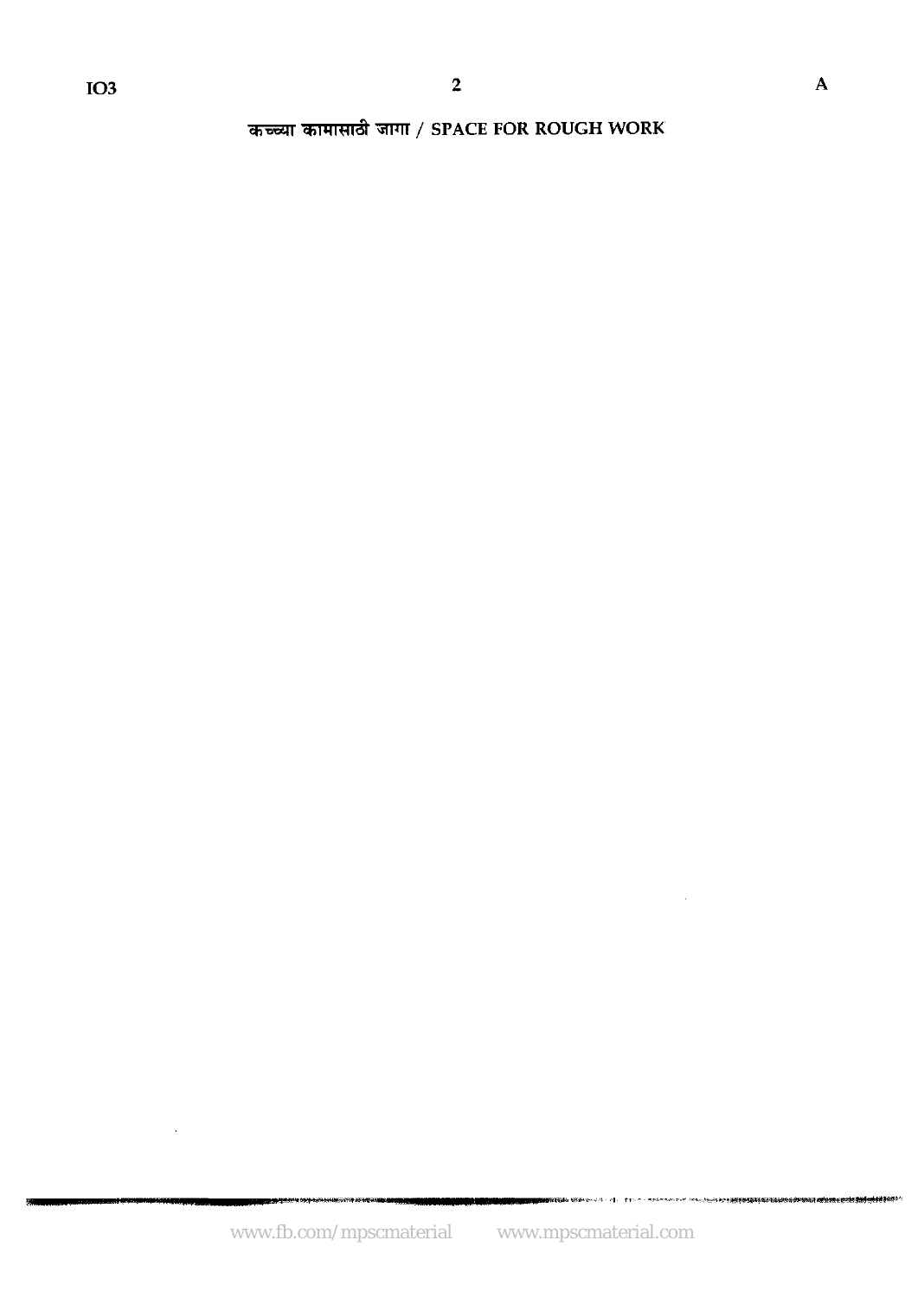$\ddot{\phantom{a}}$ 

कच्च्या कामासाठी जागा / SPACE FOR ROUGH WORK

 $\sim$ 

**INSURANCE IN THE REPORT**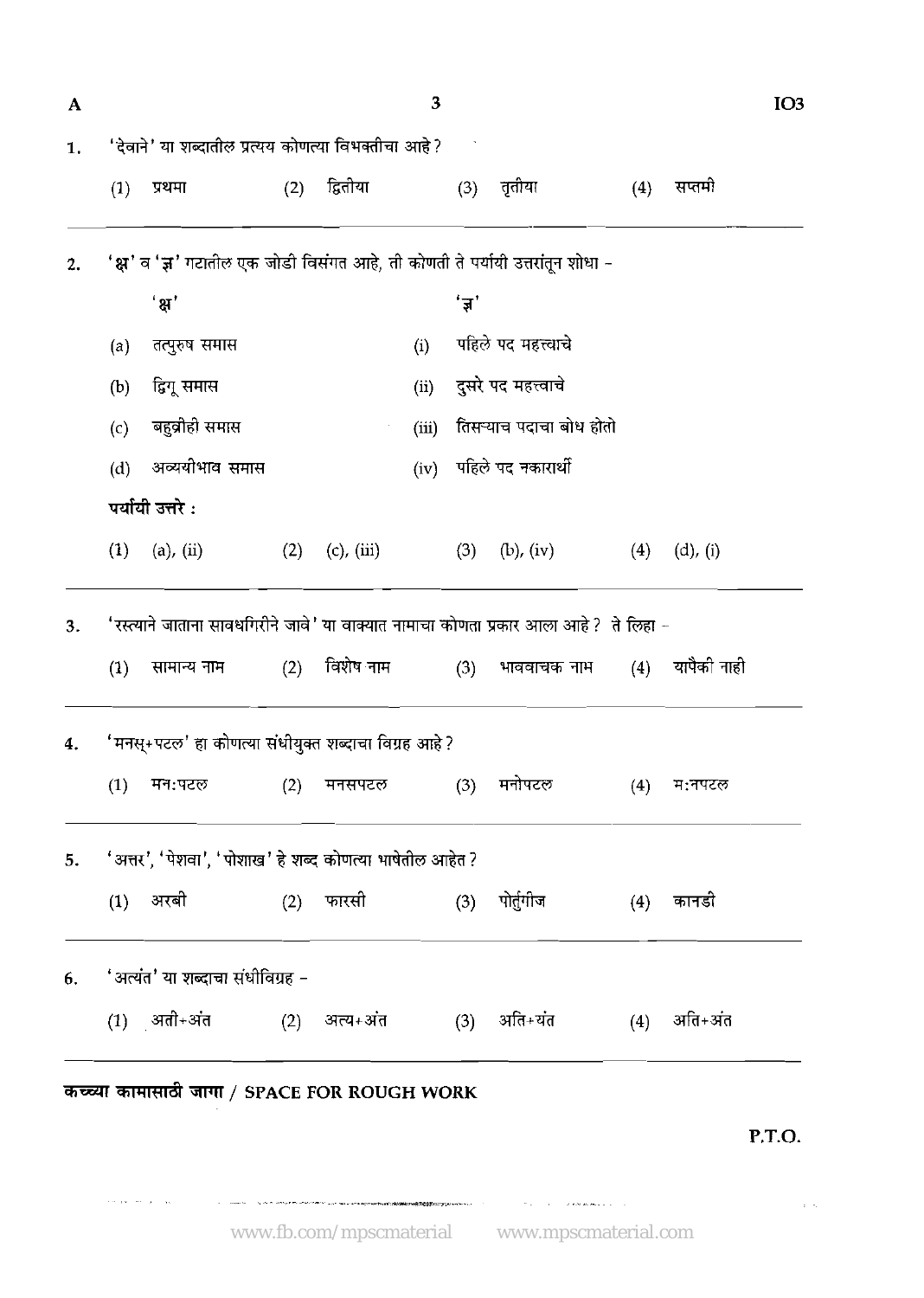| A        |                                                                                       |                                                          |     |                 | $\overline{\mathbf{3}}$ |       |                                                                                |     |             | IO <sub>3</sub> |  |
|----------|---------------------------------------------------------------------------------------|----------------------------------------------------------|-----|-----------------|-------------------------|-------|--------------------------------------------------------------------------------|-----|-------------|-----------------|--|
| 1.       |                                                                                       | 'देवाने' या शब्दातील प्रत्यय कोणत्या विभक्तीचा आहे?      |     |                 |                         |       |                                                                                |     |             |                 |  |
|          | (1)                                                                                   | प्रथमा                                                   | (2) | द्वितीया        |                         | (3)   | तृतीया                                                                         | (4) | सप्तमी      |                 |  |
| 2.       |                                                                                       |                                                          |     |                 |                         |       | 'क्ष' व 'ज्ञ' गटातील एक जोडी विसंगत आहे, ती कोणती ते पर्यायी उत्तरांतून शोधा – |     |             |                 |  |
|          |                                                                                       | ' ਸ਼'                                                    |     |                 |                         | 'ज्ञ' |                                                                                |     |             |                 |  |
|          | (a)                                                                                   | तत्पुरुष समास                                            |     |                 | (i)                     |       | पहिले पद महत्त्वाचे                                                            |     |             |                 |  |
|          | (b)                                                                                   | द्विगू समास                                              |     |                 | (ii)                    |       | दुसरे पद महत्त्वाचे                                                            |     |             |                 |  |
|          | (c)                                                                                   | बहुव्रीही समास                                           |     |                 | (iii)                   |       | तिसऱ्याच पदाचा बोध होतो                                                        |     |             |                 |  |
|          | (d)                                                                                   | अव्ययीभाव समास                                           |     |                 | (iv)                    |       | पहिले पद नकारार्थी                                                             |     |             |                 |  |
|          |                                                                                       | पर्यायी उत्तरे :                                         |     |                 |                         |       |                                                                                |     |             |                 |  |
|          | (1)                                                                                   | (a), (ii)                                                | (2) | $(c)$ , $(iii)$ |                         | (3)   | $(b)$ , $(iv)$                                                                 | (4) | $(d)$ , (i) |                 |  |
| 3.       | 'रस्त्याने जाताना सावधगिरीने जावे' या वाक्यात नामाचा कोणता प्रकार आला आहे ? ते लिहा - |                                                          |     |                 |                         |       |                                                                                |     |             |                 |  |
|          | (1)                                                                                   | सामान्य नाम (2)                                          |     | विशेष नाम       |                         | (3)   | भाववाचक नाम                                                                    | (4) | यापैकी नाही |                 |  |
|          |                                                                                       | 'मनस्+पटल' हा कोणत्या संधीयुक्त शब्दाचा विग्रह आहे ?     |     |                 |                         |       |                                                                                |     |             |                 |  |
|          | (1)                                                                                   | मन:पटल                                                   | (2) | मनसपटल          |                         | (3)   | मनोपटल                                                                         | (4) | म:नपटल      |                 |  |
|          |                                                                                       | 'अत्तर', 'पेशवा', 'पोशाख' हे शब्द कोणत्या भाषेतील आहेत ? |     |                 |                         |       |                                                                                |     |             |                 |  |
|          |                                                                                       |                                                          |     |                 |                         |       |                                                                                |     |             |                 |  |
|          | (1)                                                                                   | अरबी                                                     | (2) | फारसी           |                         | (3)   | पोर्तुगीज                                                                      | (4) | कानडो       |                 |  |
|          |                                                                                       | 'अत्यंत' या शब्दाचा संधीविग्रह –                         |     |                 |                         |       |                                                                                |     |             |                 |  |
| 5.<br>6. |                                                                                       | $(1)$ अती+अंत                                            | (2) | अत्य+अंत        |                         | (3)   | अति+यंत                                                                        | (4) | अति+अंत     |                 |  |
|          |                                                                                       |                                                          |     |                 |                         |       |                                                                                |     |             |                 |  |
|          |                                                                                       | कच्च्या कामासाठी जागा / SPACE FOR ROUGH WORK             |     |                 |                         |       |                                                                                |     |             | PTO.            |  |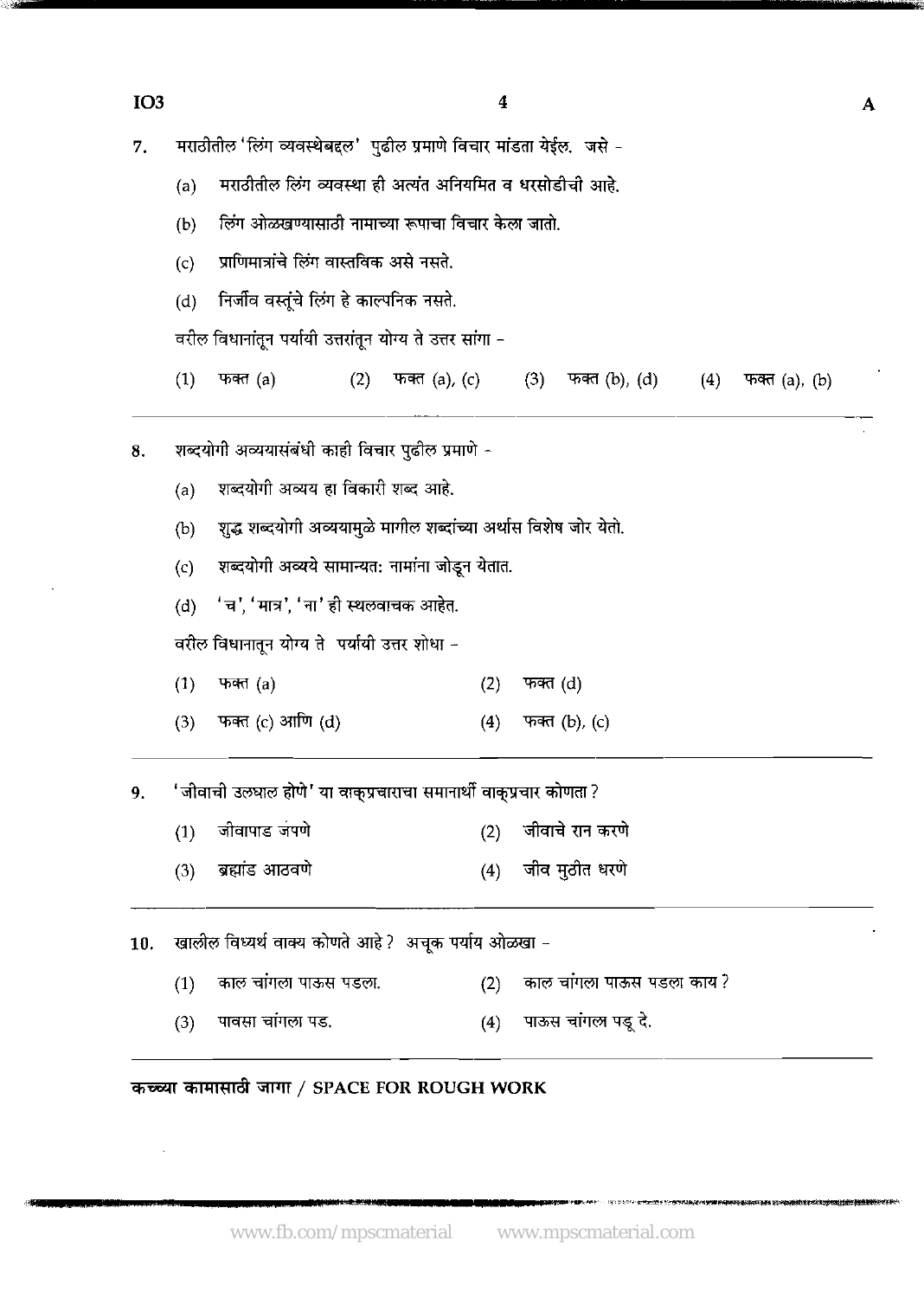$IO3$ 

मराठीतील 'लिंग व्यवस्थेबद्दल' पढील प्रमाणे विचार मांडता येईल. जसे -7.

मराठीतील लिंग व्यवस्था ही अत्यंत अनियमित व धरसोडीची आहे.  $(a)$ 

लिंग ओळखण्यासाठी नामाच्या रूपाचा विचार केला जातो.  $(b)$ 

प्राणिमात्रांचे लिंग वास्तविक असे नसते.  $(c)$ 

निर्जीव वस्तूंचे लिंग हे काल्पनिक नसते.  $(d)$ 

वरील विधानांतून पर्यायी उत्तरांतून योग्य ते उत्तर सांगा -

 $(1)$ फक्त $(a)$  $(2)$ फक्त (a), (c)  $(3)$  फक्त  $(b)$ ,  $(d)$  $(4)$ फक्त $(a)$ ,  $(b)$ 

शब्दयोगी अव्ययासंबंधी काही विचार पुढील प्रमाणे -8.

> शब्दयोगी अव्यय हा विकारी शब्द आहे.  $(a)$

शुद्ध शब्दयोगी अव्ययामुळे मागील शब्दांच्या अर्थास विशेष जोर येतो.  $(b)$ 

शब्दयोगी अव्यये सामान्यत: नामांना जोडून येतात.  $(c)$ 

'च', 'मात्र', 'ना' ही स्थलवाचक आहेत.  $(d)$ 

वरील विधानातून योग्य ते पर्यायी उत्तर शोधा -

- $(1)$ फक्त (a)  $(2)$ फक्त (d)
- फक्त (c) आणि (d)  $(3)$  $(4)$ फक्त (b), (c)

'जीवाची उलघाल होणे' या वाकुप्रचाराचा समानार्थी वाकुप्रचार कोणता ? 9.

- जीवापाड जपणे जीवाचे रान करणे  $(1)$  $(2)$
- ब्रह्मांड आठवणे जीव मुठीत धरणे  $(3)$  $(4)$

खालील विध्यर्थ वाक्य कोणते आहे? अचुक पर्याय ओळखा - $10.$ 

- काल चांगला पाऊस पडला काय ? काल चांगला पाऊस पडला.  $(1)$  $(2)$
- पाऊस चांगल पड़ू दे. पावसा चांगला पड.  $(4)$  $(3)$

कच्च्या कामासाठी जागा / SPACE FOR ROUGH WORK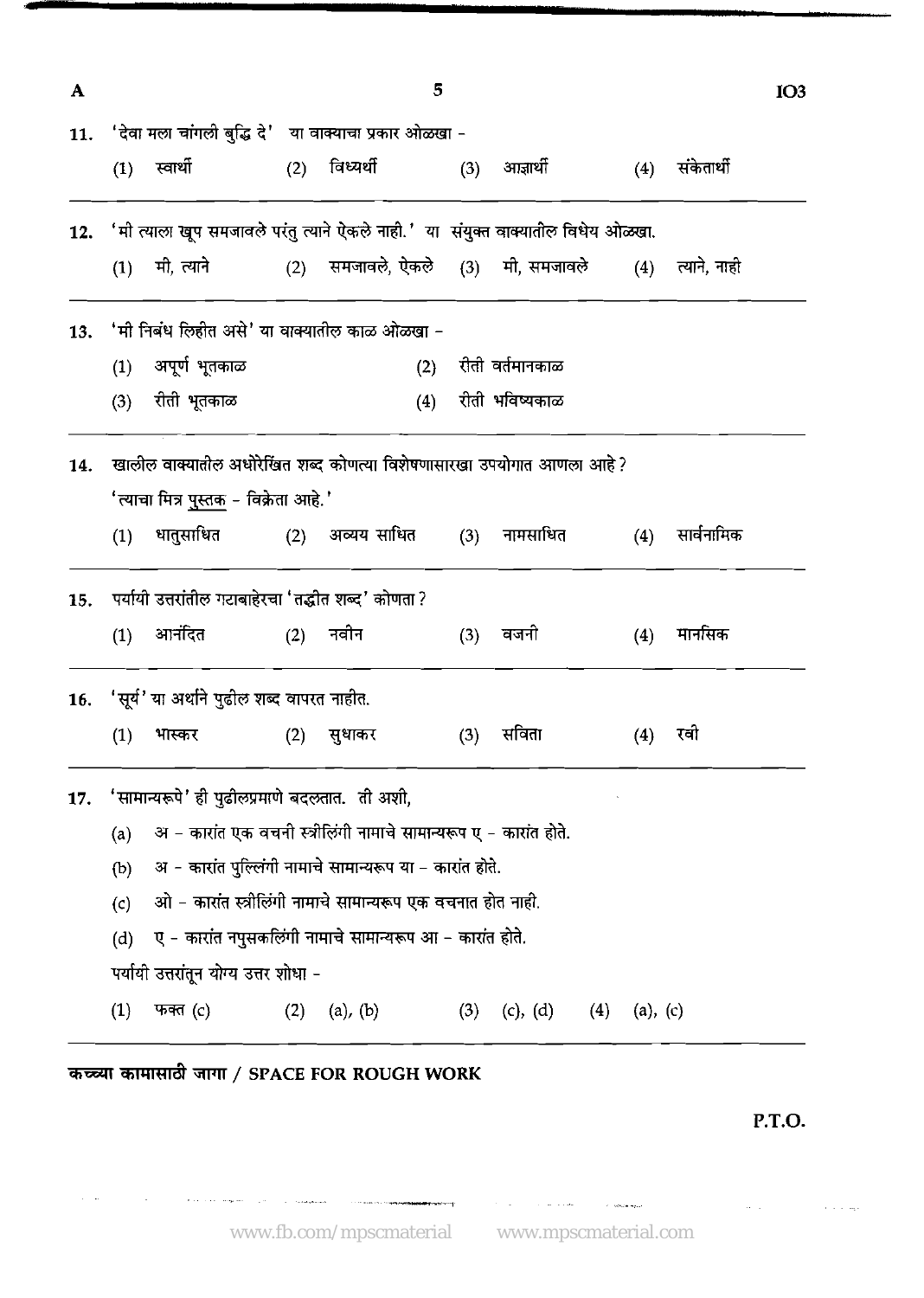| $\mathbf{A}$ |                  |                                                                                      |     | 5                                                                 |     |                     |          |                | IO <sub>3</sub> |
|--------------|------------------|--------------------------------------------------------------------------------------|-----|-------------------------------------------------------------------|-----|---------------------|----------|----------------|-----------------|
|              |                  | 11. 'देवा मला चांगली बुद्धि दे' या वाक्याचा प्रकार ओळखा -                            |     |                                                                   |     |                     |          |                |                 |
|              |                  | (1) स्वार्थी                                                                         |     | (2) विध्यर्थी                                                     |     | (3) आज्ञार्थी       |          | (4) संकेतार्थी |                 |
|              |                  | 12. 'मी त्याला खूप समजावले परंतु त्याने ऐकले नाही.' या संयुक्त वाक्यातील विधेय ओळखा. |     |                                                                   |     |                     |          |                |                 |
|              |                  | $(1)$ मी, त्याने                                                                     |     | (2) समजावले, ऐकले (3) मी, समजावले   (4) त्याने, नाही              |     |                     |          |                |                 |
| 13.          |                  | 'मी निबंध लिहीत असे' या वाक्यातील काळ ओळखा -                                         |     |                                                                   |     |                     |          |                |                 |
|              | (1)              | अपूर्ण भूतकाळ                                                                        |     |                                                                   |     | (2) रीती वर्तमानकाळ |          |                |                 |
|              | (3)              | रीती भूतकाळ                                                                          |     | (4)                                                               |     | रीती भविष्यकाळ      |          |                |                 |
| 14.          |                  | खालील वाक्यातील अधोरेखित शब्द कोणत्या विशेषणासारखा उपयोगात आणला आहे?                 |     |                                                                   |     |                     |          |                |                 |
|              |                  | 'त्याचा मित्र <u>पुस्तक</u> - विक्रेता आहे.'                                         |     |                                                                   |     |                     |          |                |                 |
|              | (1)              | धातुसाधित                                                                            | (2) | अव्यय साधित                                                       |     | (3) नामसाधित        | (4)      | सार्वनामिक     |                 |
|              |                  | 15. पर्यायी उत्तरांतील गटाबाहेरचा 'तद्धीत शब्द' कोणता ?                              |     |                                                                   |     |                     |          |                |                 |
|              |                  | $(1)$ आनंदित<br>(2) नवीन                                                             |     |                                                                   |     | (3) वजनी            | (4)      | मानसिक         |                 |
|              |                  | 16. 'सूर्य' या अर्थाने पुढील शब्द वापरत नाहीत.                                       |     |                                                                   |     |                     |          |                |                 |
|              | (1)              | भास्कर                                                                               |     | (2) सुधाकर                                                        | (3) | सविता               |          | (4) रवी        |                 |
| 17.          |                  | 'सामान्यरूपे' ही पुढीलप्रमाणे बदलतात. ती अशी,                                        |     |                                                                   |     |                     |          |                |                 |
|              | (a)              |                                                                                      |     | अ - कारांत एक वचनी स्त्रीलिंगी नामाचे सामान्यरूप ए - कारांत होते. |     |                     |          |                |                 |
|              | (b)              |                                                                                      |     | अ - कारांत पुल्लिंगी नामाचे सामान्यरूप या – कारांत होते.          |     |                     |          |                |                 |
|              | (c)              |                                                                                      |     | ओ - कारांत स्त्रीलिंगी नामाचे सामान्यरूप एक वचनात होत नाही.       |     |                     |          |                |                 |
|              | (d)              |                                                                                      |     | ए - कारांत नपुसकलिंगी नामाचे सामान्यरूप आ - कारांत होते.          |     |                     |          |                |                 |
|              |                  | पर्यायी उत्तरांतून योग्य उत्तर शोधा -                                                |     |                                                                   |     |                     |          |                |                 |
|              | $\left(1\right)$ | फक्त (c)                                                                             | (2) | (a), (b)                                                          | (3) | (c), (d)<br>(4)     | (a), (c) |                |                 |

*कच्च्या कामासाठी जागा / SPACE FOR ROUGH WORK* 

 $\label{eq:1} \mathcal{L} = \mathcal{L} \left( \mathbf{r} \right) + \mathbf{r} \left( \mathbf{r} \right) \mathbf{e} \left( \mathbf{r} \right) + \mathbf{r} \left( \mathbf{r} \right) \mathbf{e} \left( \mathbf{r} \right) + \mathbf{r} \left( \mathbf{r} \right) \mathbf{e} \left( \mathbf{r} \right) \mathbf{e} \left( \mathbf{r} \right) + \mathbf{r} \left( \mathbf{r} \right) \mathbf{e} \left( \mathbf{r} \right) \mathbf{e} \left( \mathbf{r} \right) \mathbf{$ 

 $\Delta \sim 10^{11}$  m

 $\sim$   $\sim$ 

**P.T.O.** 

 $\hat{\mathbf{v}}$  is a sign

 $\sim 10^{11}$  km s  $^{-1}$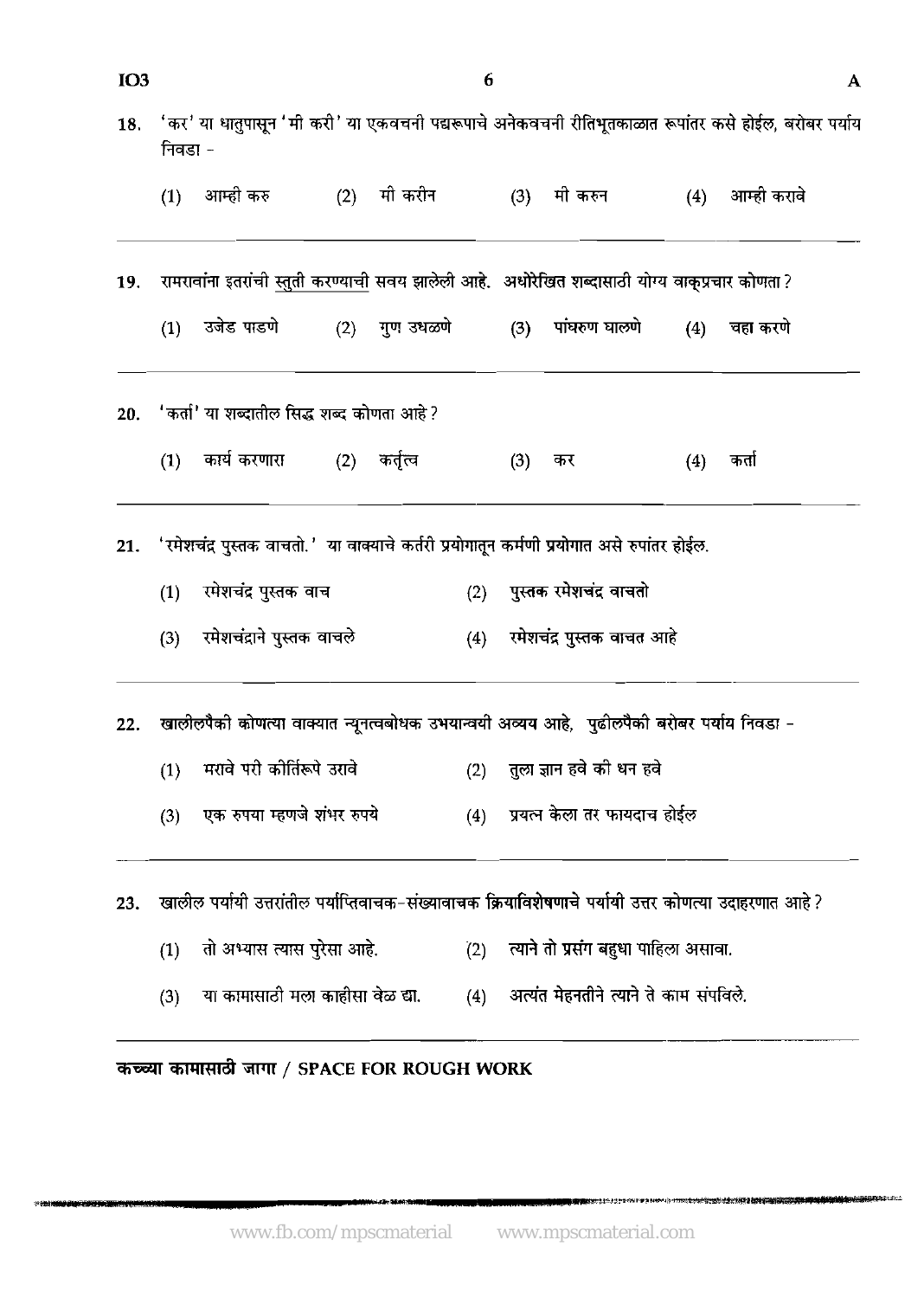| IO <sub>3</sub> |                             |                                                                                                        |  |               | 6   |     |                                                                      |     |                 | A |
|-----------------|-----------------------------|--------------------------------------------------------------------------------------------------------|--|---------------|-----|-----|----------------------------------------------------------------------|-----|-----------------|---|
| 18.             | निवडा -                     | 'कर' या धातुपासून 'मी करी' या एकवचनी पद्यरूपाचे अनेकवचनी रीतिभूतकाळात रूपांतर कसे होईल, बरोबर पर्याय   |  |               |     |     |                                                                      |     |                 |   |
|                 |                             | (1) आम्ही करु                                                                                          |  | (2) – मी करीन |     |     | (3) मी करुन                                                          |     | (4) आम्ही करावे |   |
| 19.             |                             | रामरावांना इतरांची स्तुती करण्याची सवय झालेली आहे.  अधोरेखित शब्दासाठी योग्य वाक्प्रचार कोणता?         |  |               |     |     |                                                                      |     |                 |   |
|                 | (1)                         |                                                                                                        |  |               |     |     | उजेड पाडणे           (2)    गुण उधळणे           (3)    पांघरुण घालणे |     | (4) चहा करणे    |   |
| 20.             |                             | <sup>,</sup> 'कर्ता' या शब्दातील सिद्ध शब्द कोणता आहे ?                                                |  |               |     |     |                                                                      |     |                 |   |
|                 |                             | (1) कार्य करणारा (2) कर्तृत्व                                                                          |  |               |     | (3) | कर                                                                   | (4) | कतो             |   |
| 21.             |                             | 'रमेशचंद्र पुस्तक वाचतो.' या वाक्याचे कर्तरी प्रयोगातून कर्मणी प्रयोगात असे रुपांतर होईल.              |  |               |     |     |                                                                      |     |                 |   |
|                 | रमेशचंद्र पुस्तक वाच<br>(1) |                                                                                                        |  |               |     |     | (2) पुस्तक रमेशचंद वाचतो                                             |     |                 |   |
|                 | (3)                         | रमेशचंद्राने पुस्तक वाचले                                                                              |  |               | (4) |     | रमेशचंद्र पुस्तक वाचत आहे                                            |     |                 |   |
| 22.             |                             | खालीलपैको कोणत्या वाक्यात न्यूनत्वबोधक उभयान्वयी अव्यय आहे, पुढीलपैको बरोबर पर्याय निवडा -             |  |               |     |     |                                                                      |     |                 |   |
|                 | (1)                         | मरावे परी कोर्तिरूपे उरावे                                                                             |  |               | (2) |     | तुला ज्ञान हवे की धन हवे                                             |     |                 |   |
|                 | (3)                         | एक रुपया म्हणजे शंभर रुपये                                                                             |  |               | (4) |     | प्रयत्न केला तर फायदाच होईल                                          |     |                 |   |
| 23.             |                             | खालील पर्यायी उत्तरांतील पर्याप्तिवाचक–संख्यावाचक क्रियाविशेषणाचे पर्यायी उत्तर कोणत्या उदाहरणात आहे ? |  |               |     |     |                                                                      |     |                 |   |
|                 | (1)                         | तो अभ्यास त्यास पुरेसा आहे.                                                                            |  |               | (2) |     | त्याने तो प्रसंग बहुधा पाहिला असावा.                                 |     |                 |   |
|                 | (3)                         | या कामासाठी मला काहीसा वेळ द्या.                                                                       |  |               | (4) |     | अत्यंत मेहनतीने त्याने ते काम संपविले.                               |     |                 |   |
|                 |                             |                                                                                                        |  |               |     |     |                                                                      |     |                 |   |

कच्च्या कामासाठी जागा / SPACE FOR ROUGH WORK

.<br>Profesional

● ·· トラリスキントライトの出会社の大学の大学の世界の場所

도동용으 손님들이 들어서 나는 거야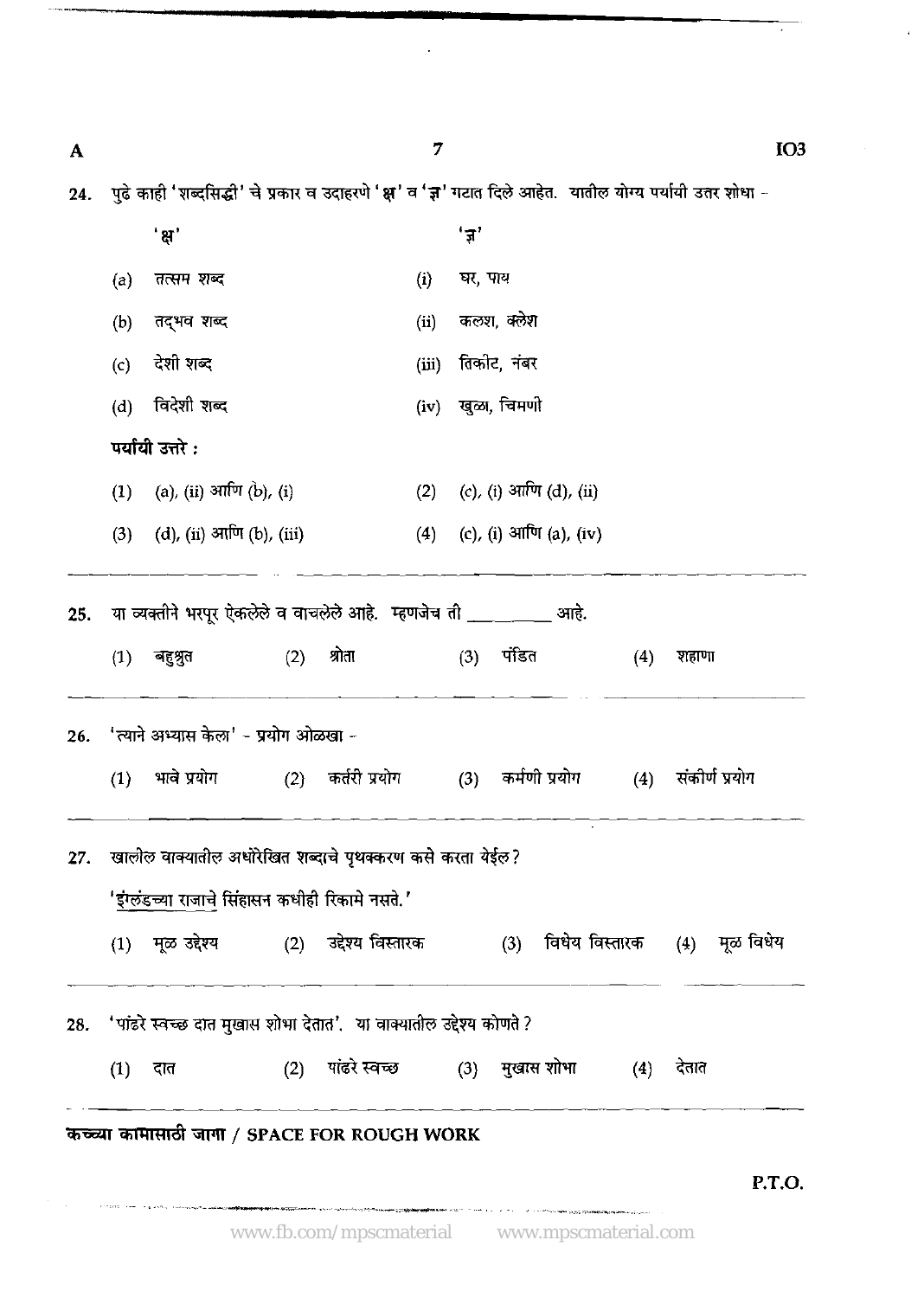| A   |     |                                                                                                             |     |                              | 7     |         |                            |     |                                                                                                         | IO <sub>3</sub> |
|-----|-----|-------------------------------------------------------------------------------------------------------------|-----|------------------------------|-------|---------|----------------------------|-----|---------------------------------------------------------------------------------------------------------|-----------------|
| 24. |     |                                                                                                             |     |                              |       |         |                            |     | पुढे काही 'शब्दसिद्धी' चे प्रकार व उदाहरणे 'क्ष' व 'ज्ञ' गटात दिले आहेत. यातील योग्य पर्यायी उतर शोधा - |                 |
|     |     | ' ਸ਼'                                                                                                       |     |                              |       | 'ज़'    |                            |     |                                                                                                         |                 |
|     | (a) | तत्सम शब्द                                                                                                  |     |                              | (i)   | घर, पाय |                            |     |                                                                                                         |                 |
|     | (b) | तद्भव शब्द                                                                                                  |     |                              | (ii)  |         | कलश, क्लेश                 |     |                                                                                                         |                 |
|     | (c) | देशी शब्द                                                                                                   |     |                              | (iii) |         | तिकीट, नंबर                |     |                                                                                                         |                 |
|     | (d) | विदेशी शब्द                                                                                                 |     |                              | (iv)  |         | खुळा, चिमणी                |     |                                                                                                         |                 |
|     |     | पर्यायी उत्तरे :                                                                                            |     |                              |       |         |                            |     |                                                                                                         |                 |
|     | (1) | (a), (ii) आणि (b), (i)                                                                                      |     |                              | (2)   |         | (c), (i) आणि (d), (ii)     |     |                                                                                                         |                 |
|     | (3) | (d), (ii) आणि (b), (iii)                                                                                    |     |                              |       |         | (4) (c), (i) आणि (a), (iv) |     |                                                                                                         |                 |
| 25. | (1) | या व्यक्तीने भरपूर ऐकलेले व वाचलेले आहे. म्हणजेच ती ___________ आहे.<br>बहुश्रुत                            | (2) | श्रोता                       |       |         | (3) पंडित                  | (4) | शहाणा                                                                                                   |                 |
| 26. |     | ' त्याने अभ्यास केला' - प्रयोग ओळखा -                                                                       |     |                              |       |         |                            |     |                                                                                                         |                 |
|     | (1) | भावे प्रयोग                                                                                                 | (2) | कर्तरी प्रयोग                |       | (3)     | कर्मणी प्रयोग              | (4) | संकीर्ण प्रयोग                                                                                          |                 |
| 27. |     | खालील वाक्यातील अधोरेखित शब्दाचे पृथक्करण कसे करता येईल?<br>'इंग्लंडच्या राजाचे सिंहासन कधीही रिकामे नसते.' |     |                              |       |         |                            |     |                                                                                                         |                 |
|     |     | (1) मूळ उद्देश्य                 (2)     उद्देश्य विस्तारक                                                  |     |                              |       |         | (3)                        |     | विधेय विस्तारक (4) मूळ विधेय                                                                            |                 |
| 28. |     | 'पांढरे स्वच्छ दात मुखास शोभा देतात'.  या वाक्यातील उद्देश्य कोणते ?                                        |     |                              |       |         |                            |     |                                                                                                         |                 |
|     | (1) | दात                                                                                                         | (2) | पांढरे स्वच्छ (3) मुखास शोभा |       |         |                            | (4) | देतात                                                                                                   |                 |
|     |     | कच्च्या कामासाठी जागा / SPACE FOR ROUGH WORK                                                                |     |                              |       |         |                            |     |                                                                                                         |                 |
|     |     |                                                                                                             |     |                              |       |         |                            |     |                                                                                                         | P.T.O.          |

l.

J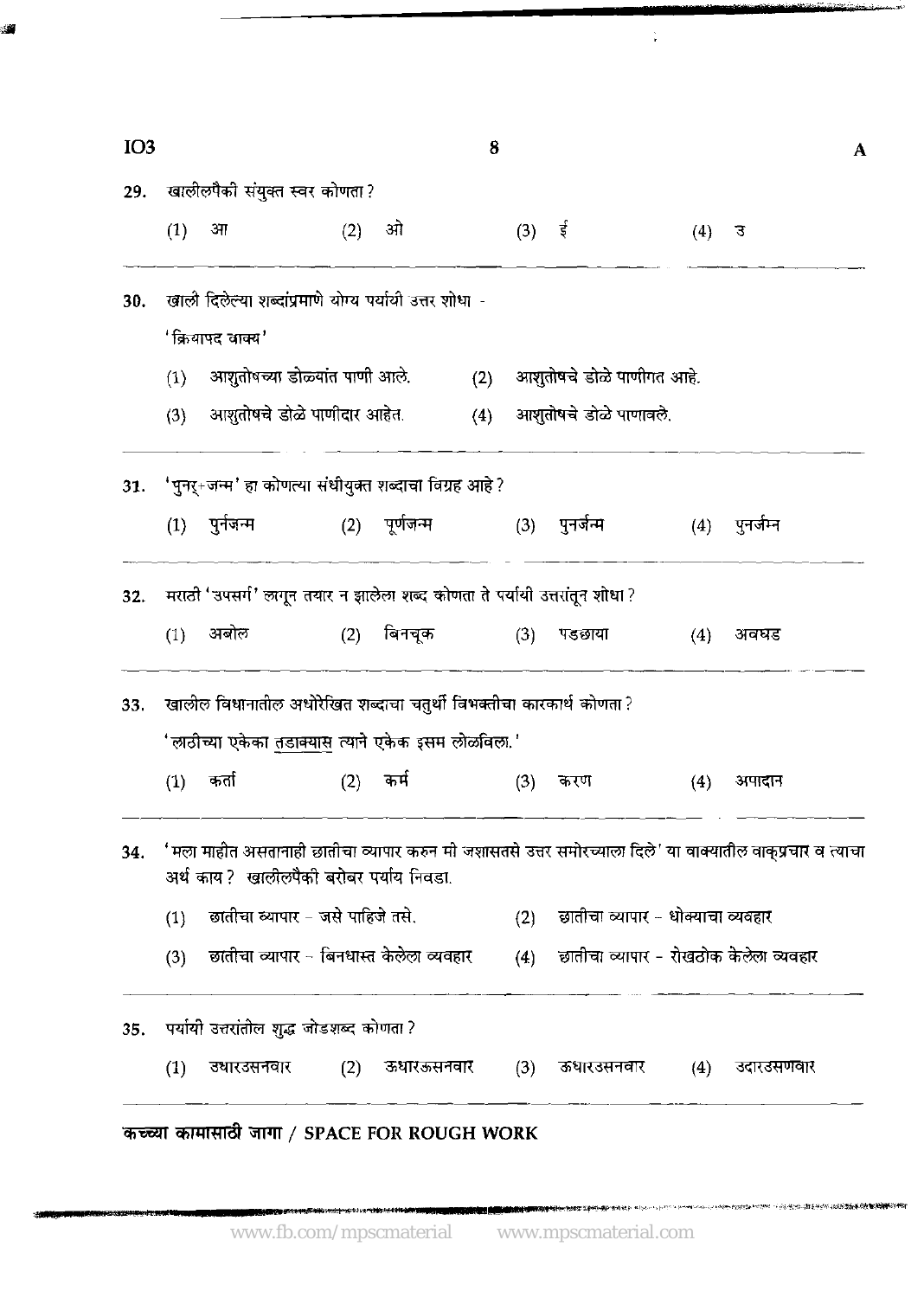| <b>IO3</b> |     |                                                                            |     |               | 8   |                   |                                   |                   | A                                                                                                          |
|------------|-----|----------------------------------------------------------------------------|-----|---------------|-----|-------------------|-----------------------------------|-------------------|------------------------------------------------------------------------------------------------------------|
| 29.        |     | खालीलपैको संयुक्त स्वर कोणता?                                              |     |               |     |                   |                                   |                   |                                                                                                            |
|            | (1) | 3 <sub>1</sub>                                                             | (2) | ओ             |     | $(3)$ $\dot{\xi}$ |                                   | (4)               | उ                                                                                                          |
| 30.        |     | खाली दिलेल्या शब्दांप्रमाणे योग्य पर्यायी उत्तर शोधा -                     |     |               |     |                   |                                   |                   |                                                                                                            |
|            |     | 'क्रियापद वाक्य'                                                           |     |               |     |                   |                                   |                   |                                                                                                            |
|            | (1) | आशुतोषच्या डोळ्यांत पाणी आले.                                              |     |               | (2) |                   | आशुतोषचे डोळे पाणीगत आहे.         |                   |                                                                                                            |
|            | (3) | आशुतोषचे डोळे पाणीदार आहेत.                                                |     |               | (4) |                   | आशुतोषचे डोळे पाणावले.            |                   |                                                                                                            |
| 31.        |     | 'पुनर्+जन्म' हा कोणत्या संधीयुक्त शब्दाचा विग्रह आहे ?                     |     |               |     |                   |                                   |                   |                                                                                                            |
|            |     | $(1)$ पुर्नजन्म                                                            |     | (2) पूर्णजन्म |     | (3)               | पुनर्जन्म                         | $\left( 4\right)$ | पुनर्जम्न                                                                                                  |
| 32.        |     | मराठी 'उपसर्ग' लागून तयार न झालेला शब्द कोणता ते पर्यायी उत्तरांतून शोधा ? |     |               |     |                   |                                   |                   |                                                                                                            |
|            | (1) | अबोल                                                                       | (2) | बिनचूक        |     | (3)               | पडछाया                            | (4)               | अवघड                                                                                                       |
| 33.        |     | खालील विधानातील अधोरेखित शब्दाचा चतुर्थी विभक्तीचा कारकार्थ कोणता?         |     |               |     |                   |                                   |                   |                                                                                                            |
|            |     | 'लाठीच्या एकेका तडाक्यास त्याने एकेक इसम लोळविला.'                         |     |               |     |                   |                                   |                   |                                                                                                            |
|            | (1) | कतो                                                                        | (2) | कर्म          |     | (3)               | करण                               | (4)               | अपादान                                                                                                     |
| 34.        |     | अर्थ काय? खालीलपैकी बरोबर पर्याय निवडा.                                    |     |               |     |                   |                                   |                   | 'मला माहीत असतानाही छातीचा व्यापार करुन मी जशासतसे उत्तर समोरच्याला दिले' या वाक्यातील वाक्प्रचार व त्याचा |
|            | (1) | छातीचा व्यापार - जसे पाहिजे तसे.                                           |     |               |     | (2)               | छातीचा व्यापार - धोक्याचा व्यवहार |                   |                                                                                                            |
|            | (3) | छातीचा व्यापार - बिनधास्त केलेला व्यवहार                                   |     |               |     | (4)               |                                   |                   | छातीचा व्यापार - रोखठोक केलेला व्यवहार                                                                     |
| 35.        |     | पर्यायी उत्तरांतील शुद्ध जोडशब्द कोणता ?                                   |     |               |     |                   |                                   |                   |                                                                                                            |
|            | (1) | उधारउसनवार                                                                 | (2) | ऊधारऊसनवार    |     | (3)               | ऊधारउसनवार                        | (4)               |                                                                                                            |

 $\frac{1}{\tau}$ 

'कच्च्या कामासाठा जागा / SPACE FOR ROUGH WORK

.

1999年1999年19月18日, 1999年1999年19月18日, 1999年19月, 1999年19月, 1999年, 1999年, 1999年, 1999年, 1999年, 1999年, 19

.<br>Represiónsin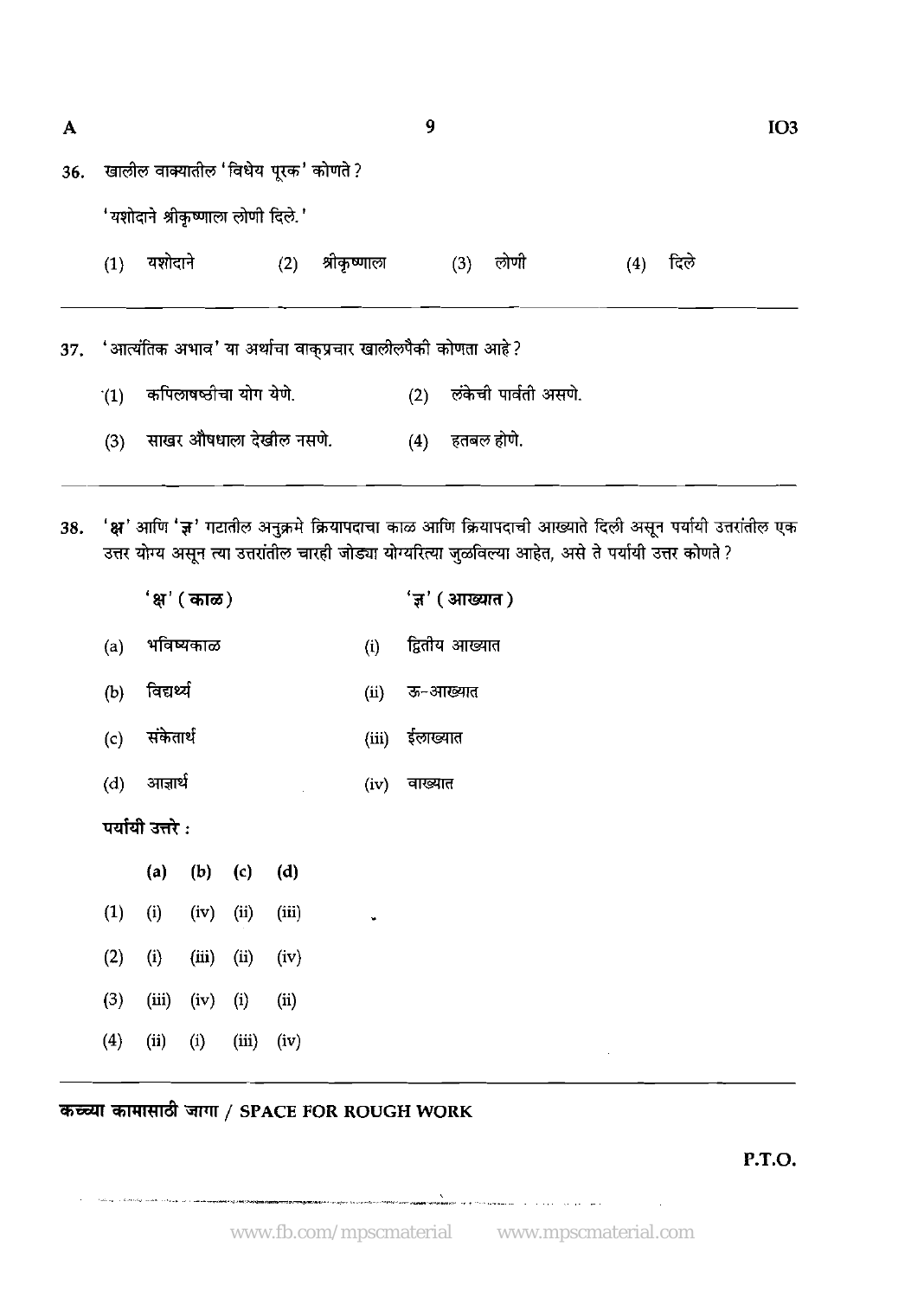| A   |     |                                                                 |     |              | 9   | IO <sub>3</sub> |                      |     |      |  |
|-----|-----|-----------------------------------------------------------------|-----|--------------|-----|-----------------|----------------------|-----|------|--|
| 36. |     | खालील वाक्यातील 'विधेय पूरक' कोणते ?                            |     |              |     |                 |                      |     |      |  |
|     |     | 'यशोदाने श्रीकृष्णाला लोणी दिले.'                               |     |              |     |                 |                      |     |      |  |
|     | (1) | यशोदाने                                                         | (2) | श्रीकृष्णाला |     | (3)             | लोणी                 | (4) | दिले |  |
|     |     |                                                                 |     |              |     |                 |                      |     |      |  |
|     |     | 37. 'आर्त्यातक अभाव' या अर्थाचा वाक्प्रचार खालीलपैकी कोणता आहे? |     |              |     |                 |                      |     |      |  |
|     | (1) | कपिलाषष्ठीचा योग येणे.                                          |     |              | (2) |                 | लंकेची पार्वती असणे. |     |      |  |
|     | (3) | साखर औषधाला देखील नसणे.                                         |     |              | (4) |                 | हतबल होणे.           |     |      |  |
|     |     |                                                                 |     |              |     |                 |                      |     |      |  |

38. 'क्ष' आणि 'ज्ञ' गटातील अनुक्रमे क्रियापदाचा काळ आणि क्रियापदाची आख्याते दिली असून पर्यायी उत्तरांतील एक उत्तर योग्य असून त्या उत्तरांतील चारही जोड्या योग्यरित्या जुळविल्या आहेत, असे ते पर्यायी उत्तर कोणते ?

|     |                 | 'क्ष' ( काळ)         |             |       |     | 'ज्ञ' ( आख्यात ) |
|-----|-----------------|----------------------|-------------|-------|-----|------------------|
|     | (a) भविष्यकाळ   |                      |             |       | (i) | द्वितीय आख्यात   |
| (b) | विद्यर्थ        |                      |             |       |     | (ii) ऊ-आख्यात    |
|     | (c) संकेतार्थ   |                      |             |       |     | (iii) ईलाख्यात   |
|     | (d) आज्ञार्थ    |                      |             |       |     | (iv) वाख्यात     |
|     | पर्यायी उत्तरे: |                      |             |       |     |                  |
|     | (a)             |                      | $(b)$ $(c)$ | (d)   |     |                  |
| (1) | (i)             | $(iv)$ (ii)          |             | (iii) |     |                  |
| (2) | (i)             | (iii)                | (ii)        | (iv)  |     |                  |
| (3) |                 | $(iii)$ $(iv)$ $(i)$ |             | (ii)  |     |                  |
| (4) | (ii)            | $(i)$ $(iii)$        |             | (iv)  |     |                  |

?+TRR& 3TT / **SPACE FOR ROUGH WORK** 

**P.T.O.** 

. ..~. ~-~\* .,,. \*,- ---- ". ." -........ ~. --..---.-,,. ., ~

 $\mathcal{L}^{\mathcal{A}}$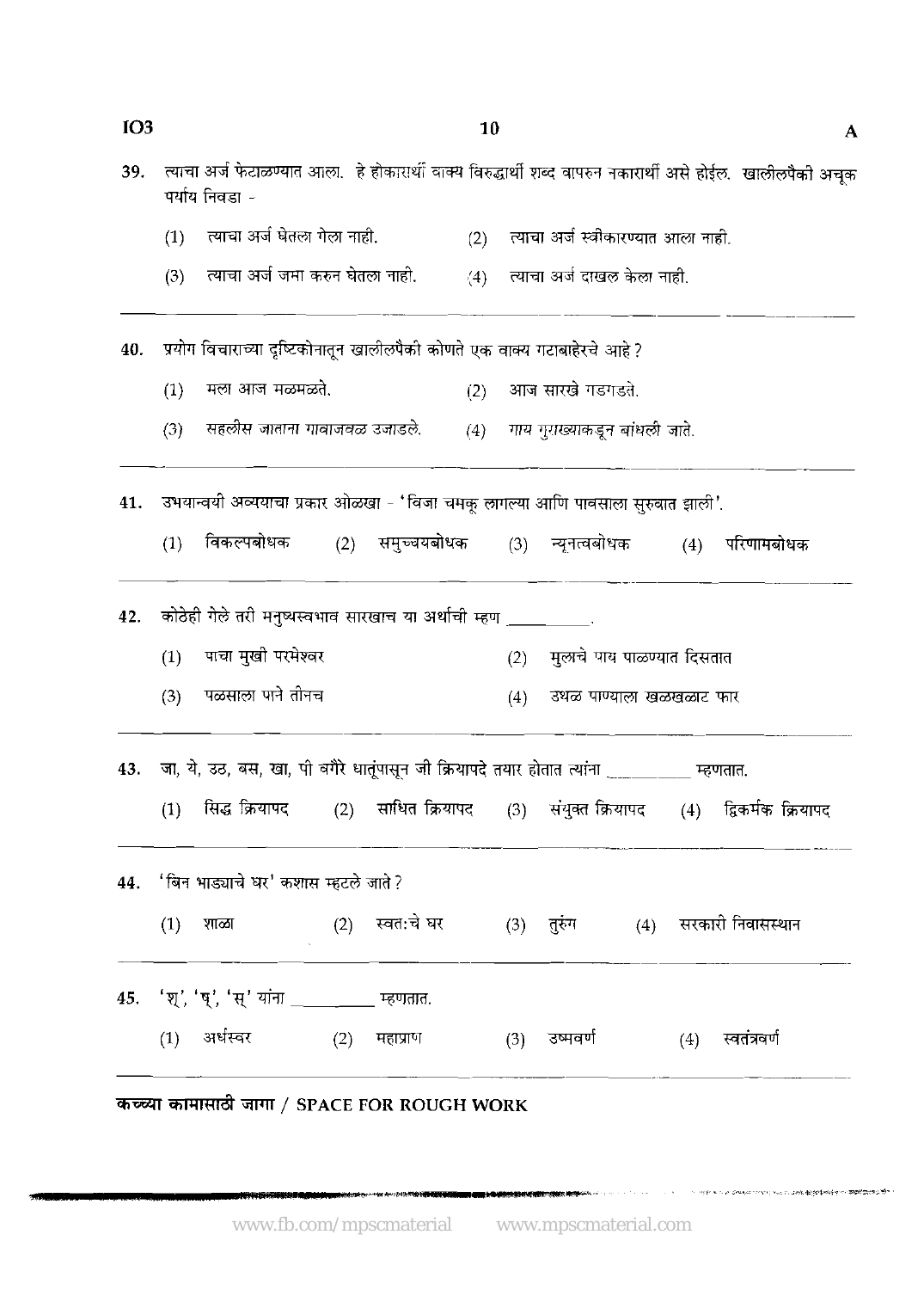$IO3$ 

| 39. |     | पर्याय निवडा -                                                                                |     |            |     |     |                                        |     | त्याचा अर्ज फेटाळण्यात आला.  हे होकारार्थी वाक्य विरुद्धार्थी शब्द वापरुन नकारार्थी असे होईल.  खालीलपैकी अचूक |
|-----|-----|-----------------------------------------------------------------------------------------------|-----|------------|-----|-----|----------------------------------------|-----|---------------------------------------------------------------------------------------------------------------|
|     | (1) | त्याचा अर्ज घेतला गेला नाही.                                                                  |     |            |     |     | (2) त्याचा अर्ज स्वीकारण्यात आला नाही. |     |                                                                                                               |
|     | (3) | त्याचा अर्ज जमा करुन घेतला नाही.                                                              |     |            |     |     | (4) त्याचा अर्ज दाखल केला नाही.        |     |                                                                                                               |
| 40. |     | प्रयोग विचाराच्या दृष्टिकोनातून खालीलपैकी कोणते एक वाक्य गटाबाहेरचे आहे ?                     |     |            |     |     |                                        |     |                                                                                                               |
|     | (1) | मला आज मळमळते.                                                                                |     |            | (2) |     | आज सारखे गडगडते.                       |     |                                                                                                               |
|     | (3) | सहलीस जाताना गावाजवळ उजाडले.                                                                  |     |            |     |     | (4) गाय गुराख्याकडून बांधली जाते.      |     |                                                                                                               |
| 41. |     | उभयान्वयी अव्ययाचा प्रकार ओळखा - 'विजा चमकू लागल्या आणि पावसाला सुरुवात झाली'.                |     |            |     |     |                                        |     |                                                                                                               |
|     | (1) | विकल्पबोधक (2) समुच्चयबोधक (3) न्यूनत्वबोधक (4) परिणामबोधक                                    |     |            |     |     |                                        |     |                                                                                                               |
| 42. |     | कोठेही गेले तरी मनुष्यस्वभाव सारखाच या अर्थाची म्हण __________                                |     |            |     |     |                                        |     |                                                                                                               |
|     | (1) | पाचा मुखी परमेश्वर                                                                            |     |            |     | (2) | मुलाचे पाय पाळण्यात दिसतात             |     |                                                                                                               |
|     | (3) | पळसाला पाने तीनच                                                                              |     |            |     | (4) | उथळ पाण्याला खळखळाट फार                |     |                                                                                                               |
|     |     | 43. जा, ये, उठ, बस, खा, पी वगैरे धातूंपासून जी क्रियापदे तयार होतात त्यांना ________ म्हणतात. |     |            |     |     |                                        |     |                                                                                                               |
|     | (1) | सिद्ध क्रियापद                                                                                |     |            |     |     |                                        |     | (2) साधित क्रियापद (3) संयुक्त क्रियापद (4) द्विकर्मक क्रियापद                                                |
|     |     | 44. 'बिन भाड्याचे घर' कशास म्हटले जाते ?                                                      |     |            |     |     |                                        |     |                                                                                                               |
|     | (1) | शाळा                                                                                          | (2) | स्वत:चे घर |     |     |                                        |     | (3) तुरुंग        (4)    सरकारी निवासस्थान                                                                    |
|     |     | 45. 'श्', 'ष्', 'स्' यांना ________ म्हणतात.                                                  |     |            |     |     |                                        |     |                                                                                                               |
|     |     | (1) अर्धस्वर                                                                                  | (2) | महाप्राण   |     |     | (3) उष्मवर्ण                           | (4) | स्वतंत्रवर्ण                                                                                                  |
|     |     |                                                                                               |     |            |     |     |                                        |     |                                                                                                               |

*कच्च्या कामासाठी जागा / SPACE FOR ROUGH WORK* 

1999年第2019年10月14日1月17日19月1日,1998年1月18日18月18日,1999年1月1日,1999年1月11日,1999年1月11日,1999年1月11日,1月11日,1月11日,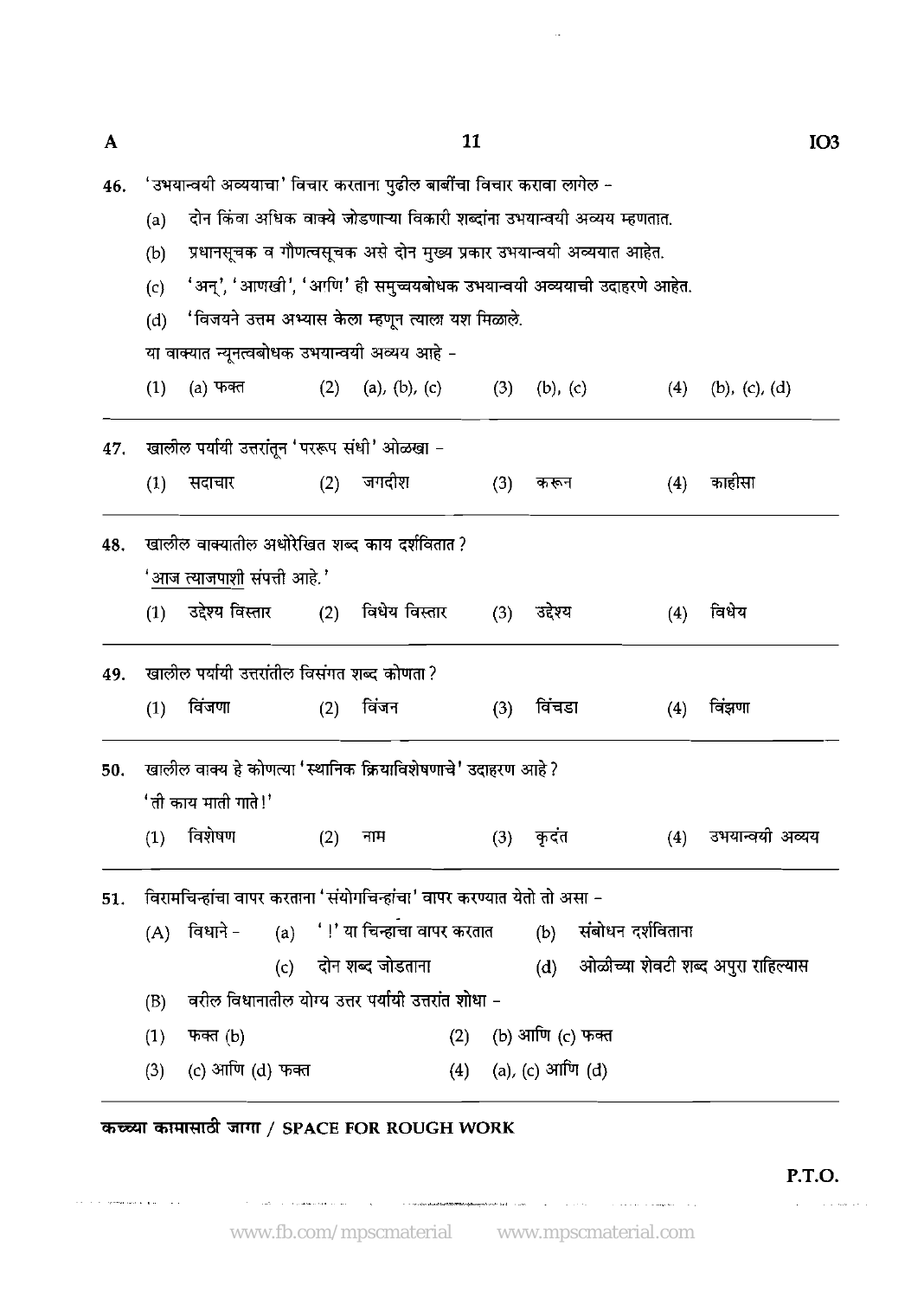| 46.   'उभयान्वयी अव्ययाचा' विचार करताना पुढील बार्बीचा विचार करावा लागेल – |
|----------------------------------------------------------------------------|
|----------------------------------------------------------------------------|

(a) दोन किंवा अधिक वाक्ये जोडणाऱ्या विकारी शब्दांना उभयान्वयी अव्यय म्हणतात.

- (b) प्रधानसूचक व गौणत्वसूचक असे दोन मुख्य प्रकार उभयान्वयी अव्ययात आहेत.
- $(c)$  'अन्', 'आणखी', 'आणि' ही समुच्चयबोधक उभयान्वयी अव्ययाची उदाहरणे आहेत.
- (d) 'विजयने उत्तम अभ्यास केला म्हणून त्याला यश मिळाले.

या वाक्यात न्यूनत्वबोधक उभयान्वयी अव्यय आहे -

- (d) 'विजयने उत्तम अभ्यास केला म्हणून त्याला यश मिळाले.<br>या वाक्यात न्यूनत्वबोधक उभयान्वयी अव्यय आहे –<br>(1) (a) फक्त (2) (a), (b), (c) (3) (b), (c) (4) (b), (c), (d)
- खालील पर्यायी उत्तरांतून 'पररूप संधी' ओळखा -47. जगदीश  $(4)$ काहीसा  $(1)$ सदाचार  $(2)$  $(3)$ करून खालील वाक्यातील अधोरेखित शब्द काय दर्शवितात ? 48. 'आज त्याजपाशी संपत्ती आहे.' उद्देश्य विस्तार विधेय विस्तार  $(2)$ उद्देश्य विधेय  $(1)$  $(3)$  $(4)$ 49. खालील पर्यायी उत्तरांतील विसंगत शब्द कोणता ?  $(1)$ विंजणा  $(2)$ विंजन  $(3)$ विंचडा  $(4)$ विंझणा खालील वाक्य हे कोणत्या 'स्थानिक क्रियाविशेषणाचे' उदाहरण आहे ? 50. 'ती काय माती गाते!' विशेषण  $(1)$  $(2)$ कदंत  $(4)$ उभयान्वयी अव्यय नाम  $(3)$

51. विरामचिन्हांचा वापर करताना 'संयोगचिन्हांचा' वापर करण्यात येतो तो असा -

(A) विधाने - (a) '!' या चिन्हाचा वापर करतात (b) संबोधन दर्शविताना (c) दोन शब्द जोडताना (d) ओळीच्या शेवटी शब्द अपुरा राहिल्यास (B) वरील विधानातील योग्य उत्तर पर्यायी उत्तरांत शोधा – (c) - पता राज्य जाडतात.<br>(B) - वरील विधानातील योग्य उत्तर पर्यायी उत्तरांत शोधा –<br>(1) - फक्त (b) - - (2) - (b) आणि (c) फक्त (3) (c) आणि (d) फक्त (4) (a), (c) आणि (d)

## mrmTlliif *7FK* / **SPACE FOR ROUGH WORK**

, . ... , . , ~~ , .- ,. ,.------,,, ~.

 $\tau_{\rm c}$  is a single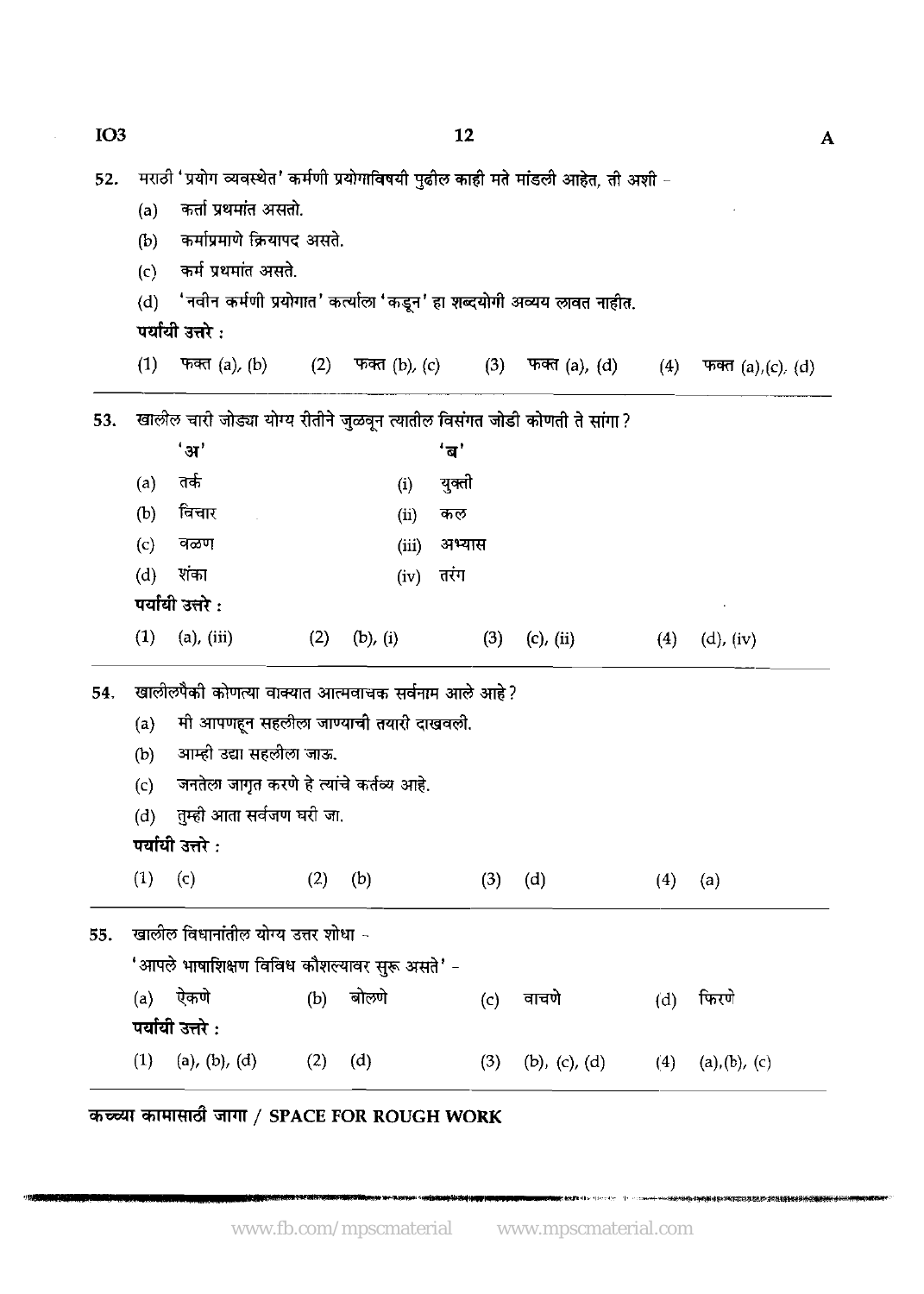$IO<sub>3</sub>$ 12 मराठी 'प्रयोग व्यवस्थेत' कर्मणी प्रयोगाविषयी पुढील काही मते मांडली आहेत, ती अशी -52. कर्ता प्रथमांत असतो.  $(a)$ कर्माप्रमाणे क्रियापद असते.  $(b)$ कर्म प्रथमांत असते.  $(c)$ 'नवीन कर्मणी प्रयोगात' कर्त्याला 'कडून' हा शब्दयोगी अव्यय लावत नाहीत.  $(d)$ पर्यायी उत्तरे:  $(1)$ फक्त $(a)$ ,  $(b)$  $(2)$ फक्त $(b)$ ,  $(c)$  $(3)$ फक्त (a), (d)  $(4)$ फक्त  $(a)$ ,  $(c)$ ,  $(d)$ खालील चारी जोड्या योग्य रीतीने जुळवून त्यातील विसंगत जोडी कोणती ते सांगा ? 53.  $'$ अ $'$ 'ब' तर्क  $(a)$ युक्ती  $(i)$ विचार  $(b)$ कल  $(ii)$  $(c)$ वळण  $(iii)$ अभ्यास  $(d)$ शंका तरंग  $(iv)$ पर्यायी उत्तरे :  $(1)$  $(a)$ ,  $(iii)$  $(2)$  $(b)$ ,  $(i)$  $(3)$  $(c)$ ,  $(ii)$  $(4)$  $(d)$ ,  $(iv)$ खालीलपैकी कोणत्या वाक्यात आत्मवाचक सर्वनाम आले आहे? 54. मी आपणहून सहलीला जाण्याची तयारी दाखवली.  $(a)$ आम्ही उद्या सहलीला जाऊ.  $(b)$ जनतेला जागृत करणे हे त्यांचे कर्तव्य आहे.  $(c)$ तुम्ही आता सर्वजण घरी जा.  $(d)$ पर्यायी उत्तरे :  $(1) (c)$  $(2)$  $(b)$  $(d)$  $(3)$  $(4)$  $(a)$ खालील विधानांतील योग्य उत्तर शोधा -55. 'आपले भाषाशिक्षण विविध कौशल्यावर सुरू असते' - $(a)$ ऐकणे  $(b)$ बोलणे फिरणे वाचणे  $(d)$  $(c)$ पर्यायी उत्तरे : (a), (b), (d)  $(2)$  $(1)$  $(d)$  $(3)$  $(b)$ ,  $(c)$ ,  $(d)$  $(4)$  $(a), (b), (c)$ 

कच्च्या कामासाठी जागा / SPACE FOR ROUGH WORK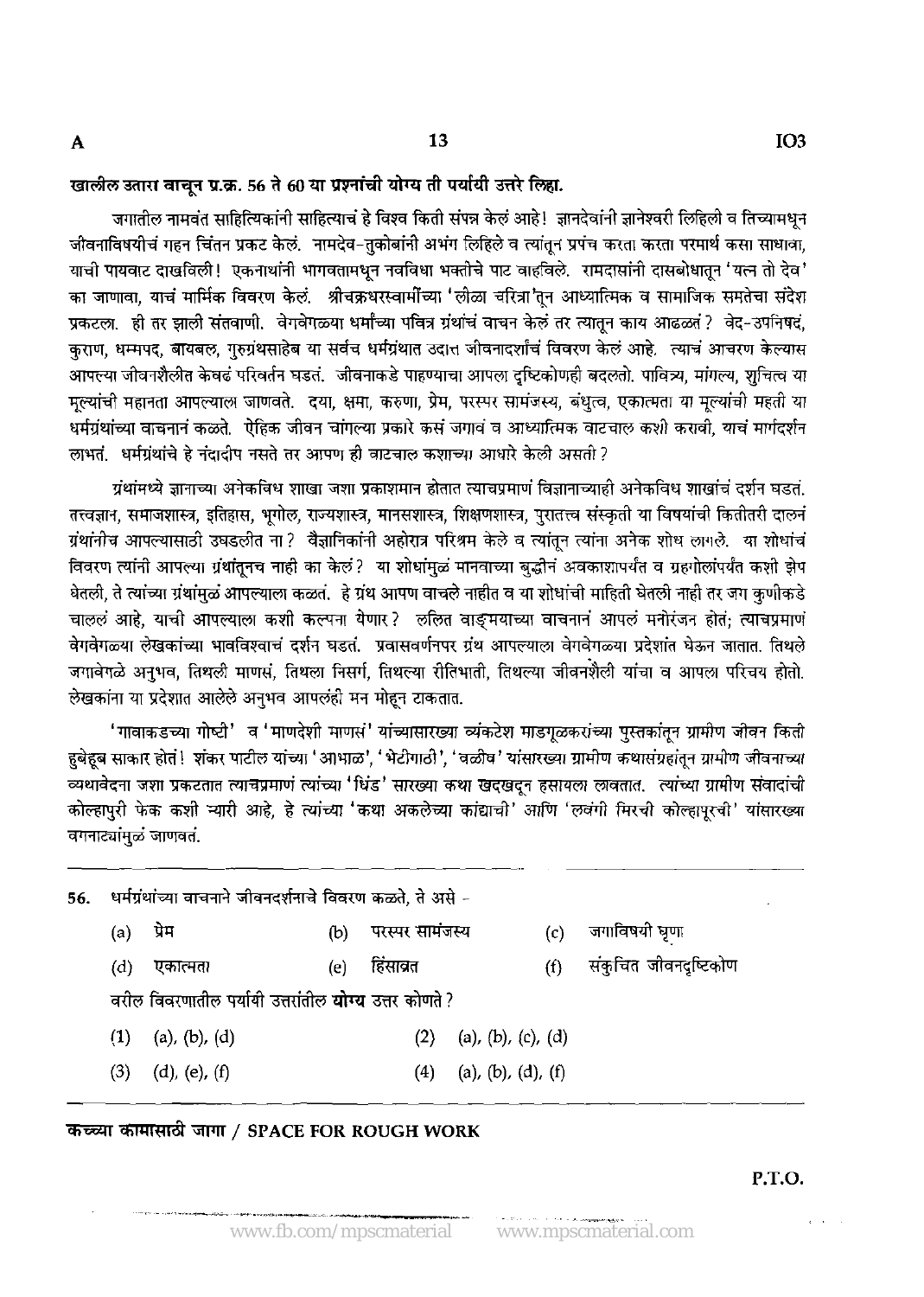A

### खालील उतारा वाचून प्र.क्र. 56 ते 60 या प्रश्नांची योग्य ती पर्यायी उत्तरे लिहा.

जगातील नामवंत साहित्यिकांनी साहित्याचं हे विश्व किती संपन्न केलं आहे! ज्ञानदेवांनी ज्ञानेश्वरी लिहिली व तिच्यामधन जीवनाविषयीचं गहन चिंतन प्रकट केलं. नामदेव-तुकोबांनी अभंग लिहिले व त्यांतून प्रपंच करता करता परमार्थ कसा साधावा, याची पायवाट दाखविली! एकनाथांनी भागवतामधुन नवविधा भक्तीचे पाट वाहविले. रामदासांनी दासबोधातून 'यत्न तो देव ' का जाणावा, याचं मार्मिक विवरण केलं. श्रीचक्रधरस्वार्मीच्या 'लीळा चरित्रा'तून आध्यात्मिक व सामाजिक समतेचा संदेश प्रकटला. ही तर झाली संतवाणी. वेगवेगळ्या धर्मांच्या पवित्र ग्रंथांचं वाचन केलं तर त्यातून काय आढळतं? वेद-उपनिषदं, कराण, धम्मपद, बायबल, गुरुग्रंथसाहेब या सर्वच धर्मग्रंथात उदात्त जीवनादर्शांचं विवरण केलं आहे. त्याचं आचरण केल्यास आपल्या जीवनशैलीत केवढं परिवर्तन घडत. जीवनाकडे पाहण्याचा आपला दष्टिकोणही बदलतो. पावित्र्य. मांगल्य. शचित्व या मुल्यांची महानता आपल्याला जाणवते. दया, क्षमा, करुणा, प्रेम, परस्पर सामंजस्य, बंधुत्व, एकात्मता या मूल्यांची महती या धर्मग्रंथांच्या वाचनानं कळते. ऐहिक जीवन चांगल्या प्रकारे कसं जगावं व आध्यात्मिक वाटचाल कशी करावी, याचं मार्गदर्शन लाभतं. धर्मग्रंथांचे हे नंदादीप नसते तर आपण ही वाटचाल कशाच्या आधारे केली असती ?

ग्रंथांमध्ये ज्ञानाच्या अनेकविध शाखा जशा प्रकाशमान होतात त्याचप्रमाणं विज्ञानाच्याही अनेकविध शाखांचं दर्शन घडत तत्त्वज्ञान, समाजशास्त्र, इतिहास, भूगोल, राज्यशास्त्र, मानसशास्त्र, शिक्षणशास्त्र, पुरातत्त्व संस्कृती या विषयांची कितीतरी दालनं ग्रंथांनीच आपल्यासाठी उघडलीत ना? वैज्ञानिकांनी अहोरात्र परिश्रम केले व त्यांतून त्यांना अनेक शोध लागले. या शोधांचं विवरण त्यांनी आपल्या ग्रंथांतूनच नाही का केलं? या शोधांमुळं मानवाच्या बुद्धीनं अवकाशापर्यंत व ग्रहगोलांपर्यंत कशी झेप घेतली, ते त्यांच्या ग्रंथांमळं आपल्याला कळतं. हे ग्रंथ आपण वाचले नाहीत व या शोधांची माहिती घेतली नाही तर जग कणीकडे चाललं आहे, याची आपल्याला कशी कल्पना येणार? ललित वाङ्मयाच्या वाचनानं आपलं मनोरंजन होतं; त्याचप्रमाणं वेगवेगळ्या लेखकांच्या भावविश्वाचं दर्शन घडतं. प्रवासवर्णनपर ग्रंथ आपल्याला वेगवेगळ्या प्रदेशांत घेऊन जातात. तिथले जगाबेगळे अनुभव, तिथली माणसं, तिथला निसर्ग, तिथल्या रीतिभाती, तिथल्या जीवनशैली यांचा व आपला परिचय होतो. लेखकांना या प्रदेशात आलेले अनुभव आपलंही मन मोहून टाकतात.

'गावाकडच्या गोष्टी' व 'माणदेशी माणसं' यांच्यासारख्या व्यंकटेश माडगूळकरांच्या पुस्तकांतून ग्रामीण जीवन किती हुबेहूब साकार होतं! शंकर पाटील यांच्या 'आभाळ', 'भेटीगाठी', 'वळीव' यांसारख्या ग्रामीण कथासंग्रहांतून ग्रामीण जीवनाच्या व्यथावेदना जशा प्रकटतात त्याचप्रमाणं त्यांच्या 'धिंड' सारख्या कथा खदखदून हसायला लावतात. त्यांच्या ग्रामीण संवादांची कोल्हापुरी फेक कशी न्यारी आहे. हे त्यांच्या 'कथा अकलेच्या कांद्याची' आणि 'लवंगी मिरची कोल्हापुरची' यांसारख्या वगनाट्यांमुळं जाणवतं.

धर्मग्रंथांच्या वाचनाने जीवनदर्शनाचे विवरण कळते, ते असे -56. जगाविषयी घृणा  $(a)$ प्रेम  $(b)$ परस्पर सामंजस्य  $(c)$ संकुचित जीवनदृष्टिकोण  $(d)$ एकात्मता  $(e)$ हिंसाव्रत  $(f)$ वरील विवरणातील पर्यायी उत्तरांतील **योग्य** उत्तर कोणते ? (a), (b), (c), (d)  $(1)$  $(a)$ ,  $(b)$ ,  $(d)$  $(2)$  $(3)$  $(d)$ ,  $(e)$ ,  $(f)$  $(4)$ (a), (b), (d), (f)

## कच्च्या कामासाठी जागा / SPACE FOR ROUGH WORK

P.T.O.

 $\epsilon = \infty$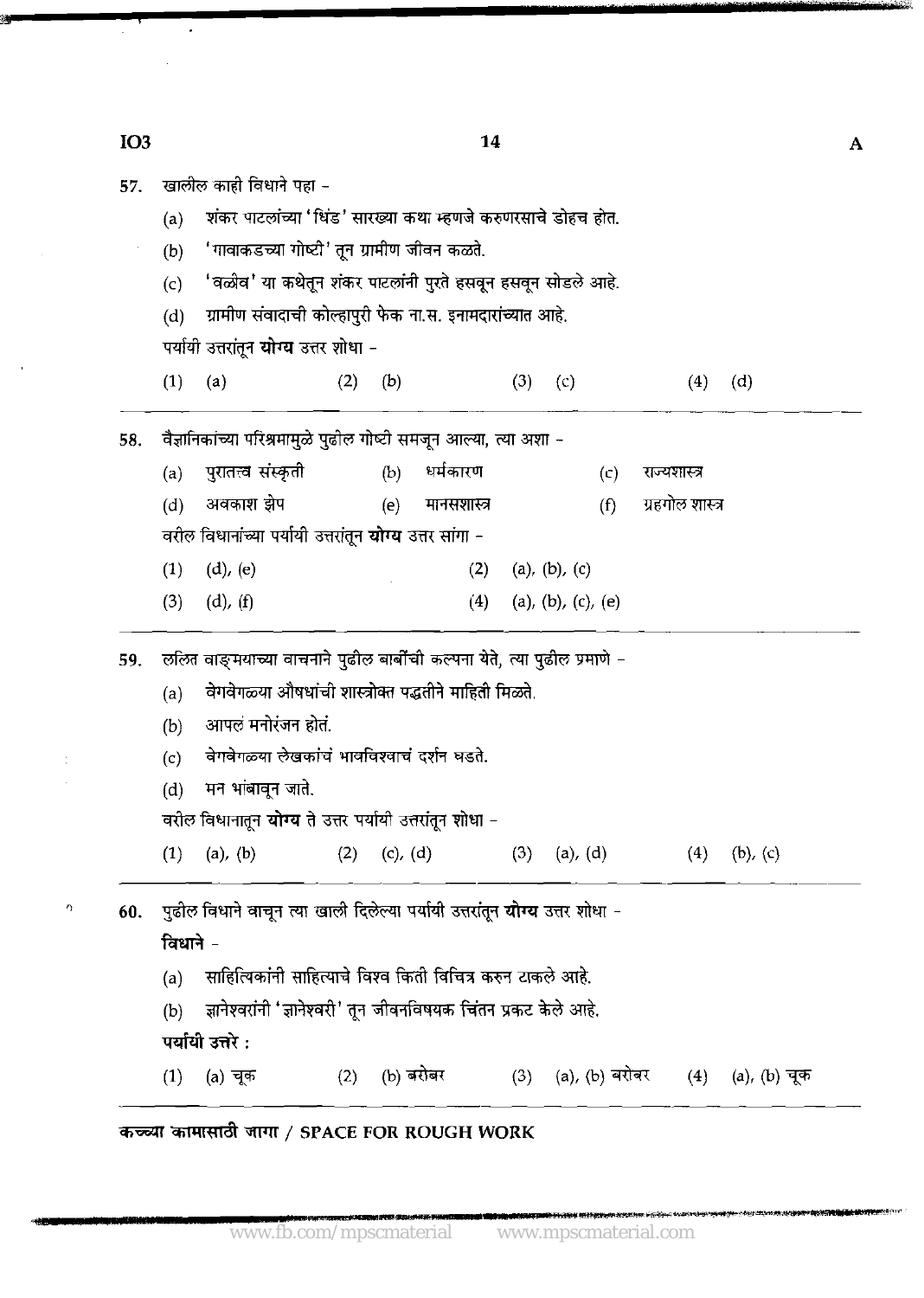| 57. |     | खालील काही विधाने पहा -                                       |
|-----|-----|---------------------------------------------------------------|
|     | (a) | शंकर पाटलांच्या 'धिंड' सारख्या कथा म्हणजे करुणरसाचे डोहच होत. |
|     | (b) | 'गावाकडच्या गोष्टी' तून ग्रामीण जीवन कळते.                    |
|     | (c) | 'वळीव' या कथेतून शंकर पाटलांनी पुरते हसवून हसवून सोडले आहे.   |
|     | (d) | -ग्रामीण संवादाची कोल्हापुरी फेक ना.स. इनामदारांच्यात आहे.    |
|     |     | पर्यायी उत्तरांतून <b>योग्य</b> उत्तर शोधा -                  |
|     |     |                                                               |

(1) **(a)** (2) (b) (3) (c) (4) (4

वैज्ञानिकांच्या परिश्रमामुळे पुढील गोष्टी समजून आल्या, त्या अशा -58.

- पुरातत्त्वं संस्कृती धर्मकारण  $(a)$  $(b)$  $(c)$ राज्यशास्त्र अवकाश झेप ग्रहगोल शास्त्र  $(d)$  $(e)$ मानसशास्त्र  $(f)$ वरील विधानांच्या पर्यायी उत्तरांतून **योग्य** उत्तर सांगा -
- $(1)$  $(d)$ ,  $(e)$  $(2)$  $(a), (b), (c)$
- $(3)$  $(d)$ ,  $(f)$ (a), (b), (c), (e)  $(4)$

59. ललित वाङ्मयाच्या वाचनाने पुढील बार्बीची कल्पना येते, त्या पुढील प्रमाणे -

- (a) ~&~~~~i%d (b) m *s;hn;r* \*.
- 
- (b) आपलं मनोरंजन होतं.<br>(c) वेगवेगळ्या लेखकांचं भावविश्वाचं दर्शन घडते.
- $(d)$  मन भांबावून जाते.

वरील विधानातून **योग्य** ते उत्तर पर्यायी उत्तरांतून शोधा -

**(1)** (a), (b) (2) (c), (4 **(3)** (a), (d) (4) (b), (c)

 $^{\circ}$  **60.** पुढील विधाने वाचून त्या खाली दिलेल्या पर्यायी उत्तरांतून **योग्य** उत्तर शोधा –

विधाने $-$ 

- (a) साहित्यिकांनी साहित्याचे विश्व किती विचित्र करुन टाकले आहे.
- (b) ज्ञानेश्वर<br>पर्यायी उत्तरे :
- 
- (b) m'M1v-\*mM&. (1) (a) ?? (2) (b) 3-h **(3)** (a), (b) \* **(4)** (4, (b) **3F**

W W4Td / **SPACE FOR ROUGH WORK** 

 $\mathbf{A}$ 

14

IO<sub>3</sub>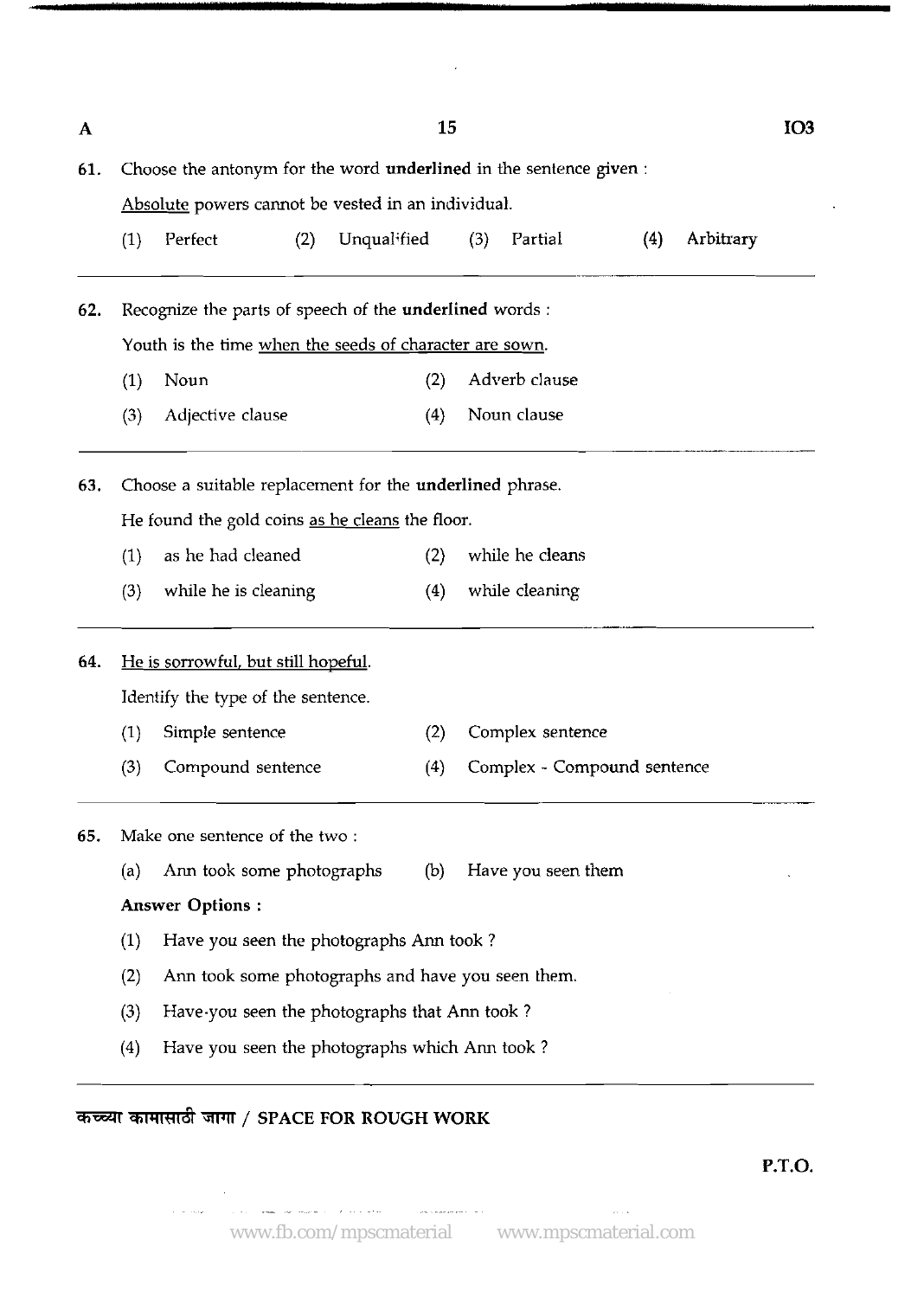| A   |                                                                                                                                                                                                                                                                                                                                                                                                                                                                                                                                                                                                                                                  |                                                   |  | 15  |                  |                             |  |  | IO <sub>3</sub> |  |  |
|-----|--------------------------------------------------------------------------------------------------------------------------------------------------------------------------------------------------------------------------------------------------------------------------------------------------------------------------------------------------------------------------------------------------------------------------------------------------------------------------------------------------------------------------------------------------------------------------------------------------------------------------------------------------|---------------------------------------------------|--|-----|------------------|-----------------------------|--|--|-----------------|--|--|
| 61. |                                                                                                                                                                                                                                                                                                                                                                                                                                                                                                                                                                                                                                                  |                                                   |  |     |                  |                             |  |  |                 |  |  |
|     | Choose the antonym for the word underlined in the sentence given:<br>Absolute powers cannot be vested in an individual.<br>Arbitrary<br>Unqualified<br>(3)<br>Partial<br>(4)<br>(1)<br>Perfect<br>(2)<br>Recognize the parts of speech of the underlined words :<br>Youth is the time when the seeds of character are sown.<br>Adverb clause<br>Noun<br>(2)<br>(1)<br>Noun clause<br>Adjective clause<br>(3)<br>(4)<br>Choose a suitable replacement for the underlined phrase.<br>He found the gold coins as he cleans the floor.<br>as he had cleaned<br>while he cleans<br>(1)<br>(2)<br>while cleaning<br>(3)<br>while he is cleaning<br>(4) |                                                   |  |     |                  |                             |  |  |                 |  |  |
|     |                                                                                                                                                                                                                                                                                                                                                                                                                                                                                                                                                                                                                                                  |                                                   |  |     |                  |                             |  |  |                 |  |  |
| 62. |                                                                                                                                                                                                                                                                                                                                                                                                                                                                                                                                                                                                                                                  |                                                   |  |     |                  |                             |  |  |                 |  |  |
|     |                                                                                                                                                                                                                                                                                                                                                                                                                                                                                                                                                                                                                                                  |                                                   |  |     |                  |                             |  |  |                 |  |  |
|     |                                                                                                                                                                                                                                                                                                                                                                                                                                                                                                                                                                                                                                                  |                                                   |  |     |                  |                             |  |  |                 |  |  |
|     |                                                                                                                                                                                                                                                                                                                                                                                                                                                                                                                                                                                                                                                  |                                                   |  |     |                  |                             |  |  |                 |  |  |
| 63. |                                                                                                                                                                                                                                                                                                                                                                                                                                                                                                                                                                                                                                                  |                                                   |  |     |                  |                             |  |  |                 |  |  |
|     |                                                                                                                                                                                                                                                                                                                                                                                                                                                                                                                                                                                                                                                  |                                                   |  |     |                  |                             |  |  |                 |  |  |
|     |                                                                                                                                                                                                                                                                                                                                                                                                                                                                                                                                                                                                                                                  |                                                   |  |     |                  |                             |  |  |                 |  |  |
|     |                                                                                                                                                                                                                                                                                                                                                                                                                                                                                                                                                                                                                                                  |                                                   |  |     |                  |                             |  |  |                 |  |  |
| 64. | He is sorrowful, but still hopeful.                                                                                                                                                                                                                                                                                                                                                                                                                                                                                                                                                                                                              |                                                   |  |     |                  |                             |  |  |                 |  |  |
|     | Identify the type of the sentence.                                                                                                                                                                                                                                                                                                                                                                                                                                                                                                                                                                                                               |                                                   |  |     |                  |                             |  |  |                 |  |  |
|     | (1)                                                                                                                                                                                                                                                                                                                                                                                                                                                                                                                                                                                                                                              | Simple sentence                                   |  | (2) | Complex sentence |                             |  |  |                 |  |  |
|     | (3)                                                                                                                                                                                                                                                                                                                                                                                                                                                                                                                                                                                                                                              | Compound sentence                                 |  | (4) |                  | Complex - Compound sentence |  |  |                 |  |  |
| 65. |                                                                                                                                                                                                                                                                                                                                                                                                                                                                                                                                                                                                                                                  | Make one sentence of the two:                     |  |     |                  |                             |  |  |                 |  |  |
|     | (a)                                                                                                                                                                                                                                                                                                                                                                                                                                                                                                                                                                                                                                              | Ann took some photographs                         |  | (b) |                  | Have you seen them          |  |  |                 |  |  |
|     |                                                                                                                                                                                                                                                                                                                                                                                                                                                                                                                                                                                                                                                  | <b>Answer Options:</b>                            |  |     |                  |                             |  |  |                 |  |  |
|     | (1)                                                                                                                                                                                                                                                                                                                                                                                                                                                                                                                                                                                                                                              | Have you seen the photographs Ann took?           |  |     |                  |                             |  |  |                 |  |  |
|     | (2)                                                                                                                                                                                                                                                                                                                                                                                                                                                                                                                                                                                                                                              | Ann took some photographs and have you seen them. |  |     |                  |                             |  |  |                 |  |  |
|     | (3)                                                                                                                                                                                                                                                                                                                                                                                                                                                                                                                                                                                                                                              | Have you seen the photographs that Ann took?      |  |     |                  |                             |  |  |                 |  |  |
|     | (4)                                                                                                                                                                                                                                                                                                                                                                                                                                                                                                                                                                                                                                              | Have you seen the photographs which Ann took?     |  |     |                  |                             |  |  |                 |  |  |

 $\mathcal{L}$ 

# कच्च्या कामासाठी जागा / SPACE FOR ROUGH WORK

 $\sim 10$ 

 $\hat{\tau}$  , as any  $\hat{\tau}$  .

**P.T.O.** 

 $\sim$  10  $\pm$  1.

 $\ddot{\phantom{a}}$ 

~-~ ~. ~~ . .. , ~. . ..~.~ ~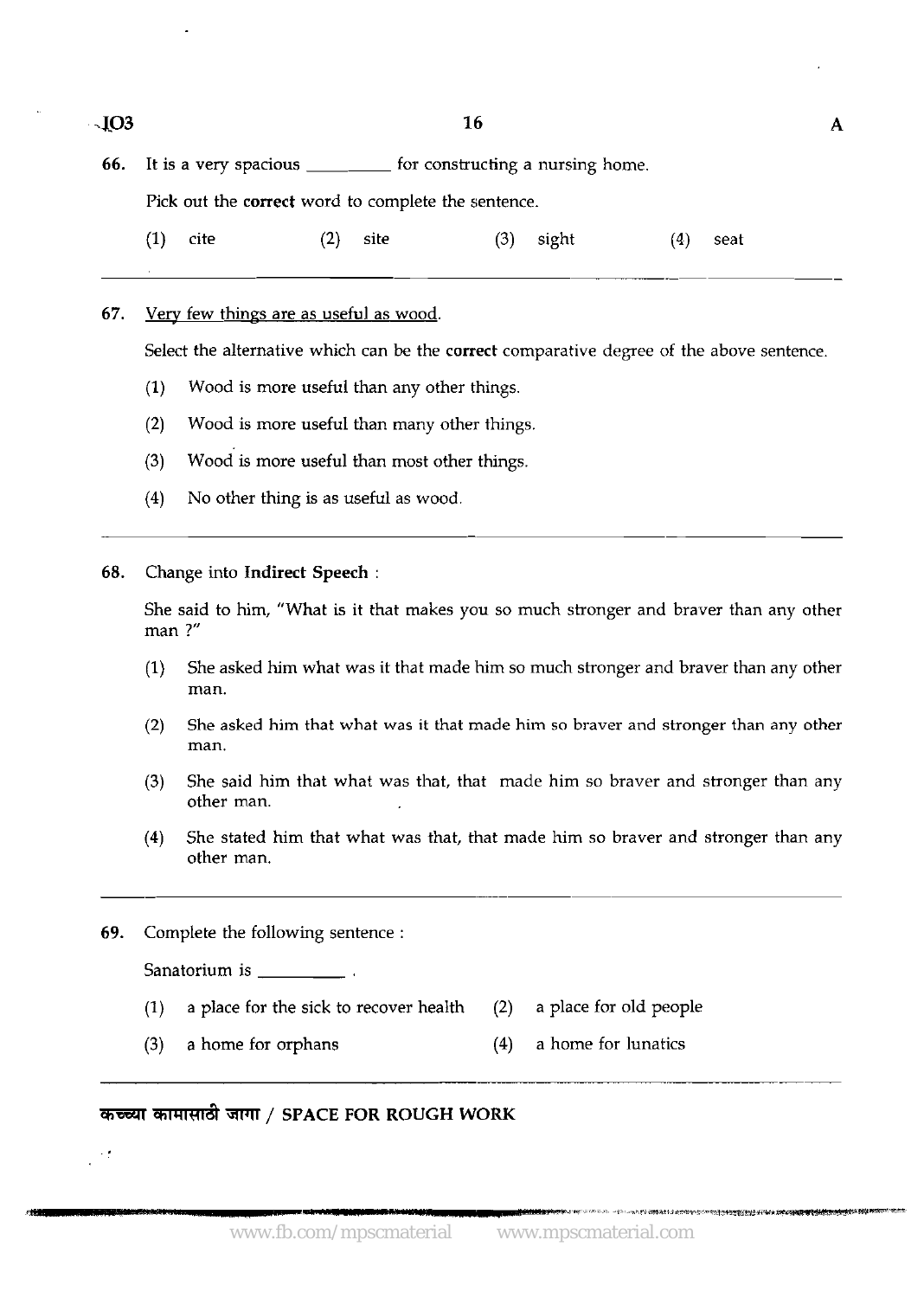| $\sim$ IO3 |                                                     |      |                                |      | 16                               |       |     |      | А |
|------------|-----------------------------------------------------|------|--------------------------------|------|----------------------------------|-------|-----|------|---|
| 66.        |                                                     |      | It is a very spacious ________ |      | for constructing a nursing home. |       |     |      |   |
|            | Pick out the correct word to complete the sentence. |      |                                |      |                                  |       |     |      |   |
|            | (1)                                                 | cite | (2)                            | site | (3)                              | sight | (4) | seat |   |
|            |                                                     |      |                                |      |                                  |       |     |      |   |

### 67. Very few things are as useful as wood.

Select the alternative which can be the **correct** comparative degree of the above sentence.

- (1) Wood is more useful than any other things.
- (2) Wood is more useful than many other things.
- **(3)** wood is more useful than most other things.
- (4) No other thing is as useful as wood.

**68.** Change into **Indirect Speech** :

She said to him, "What is it that makes you so much stronger and braver than any other man ?"

- **(1)** She asked him what was it that made him so much stronger and braver than any other man.
- (2) She asked him that what was it that made him so braver and stronger than any other man.
- (3) She said him that what was that, that made him so braver and stronger than any other man.
- **(4)** She stated him that what was that, that made him so braver and stronger than any other man.
- **69.** Complete the following sentence :

Sanatorium is \_\_\_\_\_\_\_\_\_\_\_\_\_\_.

,

- (1) a place for the sick to recover health (2) a place for old people
- (3) a home for orphans (4) a home for lunatics

### **Wll/ SPACE FOR ROUGH WORK**

...-. **f'** .' **.~,'i.:,"i\*.m..>l,;.."r~\*~b~\*,u;.m~~~~-**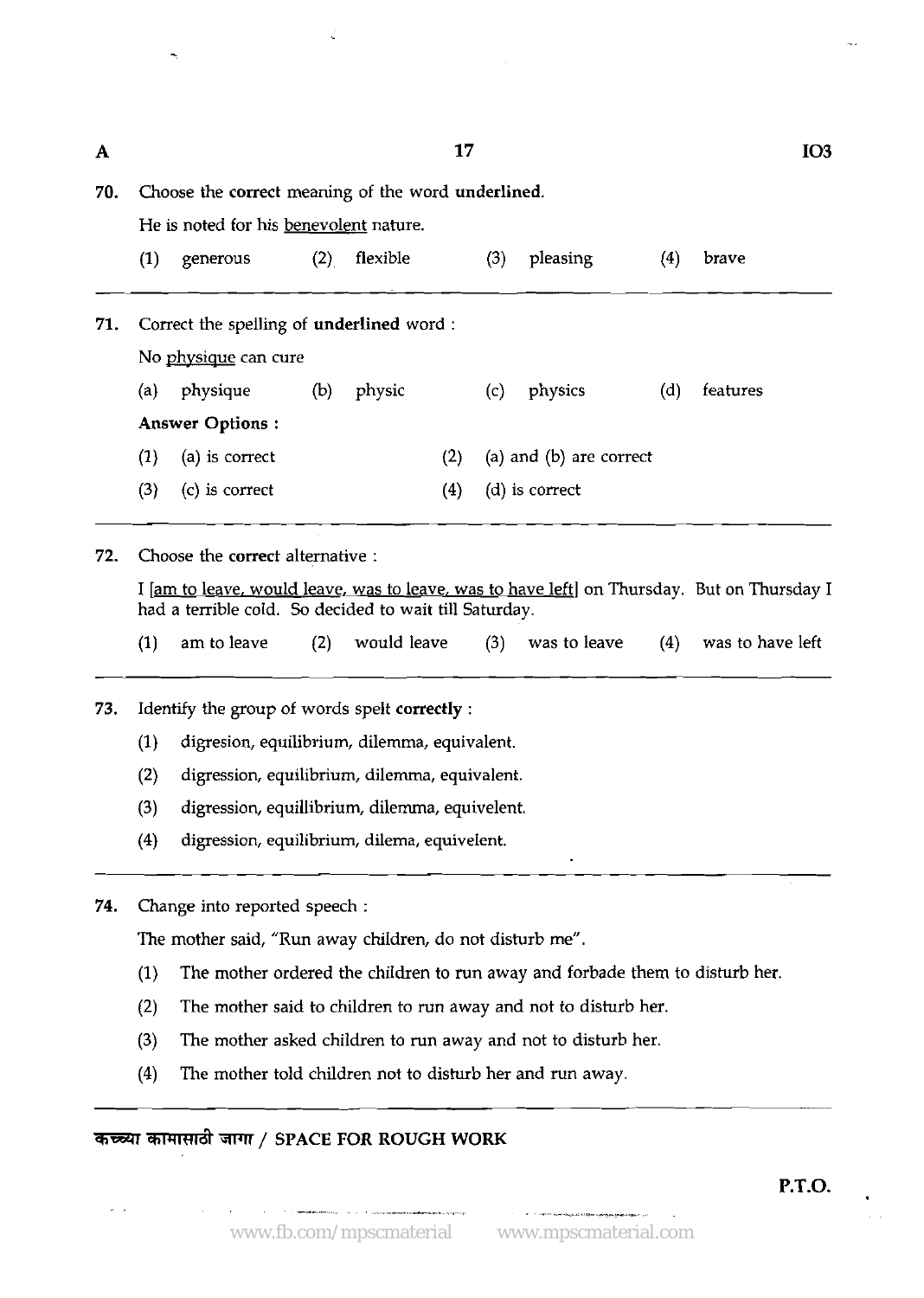| A   | 17                                                 |                                        |     |          |     |     |                             |     |          |  |  |
|-----|----------------------------------------------------|----------------------------------------|-----|----------|-----|-----|-----------------------------|-----|----------|--|--|
| 70. | Choose the correct meaning of the word underlined. |                                        |     |          |     |     |                             |     |          |  |  |
|     |                                                    | He is noted for his benevolent nature. |     |          |     |     |                             |     |          |  |  |
|     | (1)                                                | generous                               | (2) | flexible |     | (3) | pleasing                    | (4) | brave    |  |  |
| 71. | Correct the spelling of underlined word :          |                                        |     |          |     |     |                             |     |          |  |  |
|     | No physique can cure                               |                                        |     |          |     |     |                             |     |          |  |  |
|     | (a)                                                | physique                               | (b) | physic   |     | (c) | physics                     | (d) | features |  |  |
|     |                                                    | <b>Answer Options:</b>                 |     |          |     |     |                             |     |          |  |  |
|     | (1)                                                | (a) is correct                         |     |          | (2) |     | $(a)$ and $(b)$ are correct |     |          |  |  |
|     | (3)                                                | (c) is correct                         |     |          | (4) |     | (d) is correct              |     |          |  |  |
|     |                                                    |                                        |     |          |     |     |                             |     |          |  |  |

**72.** Choose the correct alternative :

I [am to leave, would leave, was to leave, was to have left] on Thursday. But on Thursday I had a terrible cold. So decided to wait till Saturday. and the team in the team in the team is a terrible cold. So decided to wait<br>am to leave (2) would learned

- (1) am to leave (2) would leave (3) was to leave (4) was to have left
- 73. Identify the group of words spelt correctly :
	- (1) digresion, equilibrium, dilemma, equivalent.
	- (2) digression, equilibrium, dilemma, equivalent.
	- (3) digression, equillibrium, dilemma, equivelent.
	- (4) digression, equilibrium, dilema, equivelent.
- **74.** Change into reported speech :

The mother said, "Run away children, do not disturb me".

- (1) The mother ordered the children to run away and forbade them to disturb her.
- (2) The mother said to children to run away and not to disturb her. - - --
	- (3) The mother asked children to run away and not to disturb her.
	- **(4)** The mother told children not to disturb her and run away.

### *कच्च्या कामासाठी जागा / SPACE FOR ROUGH WORK*

-

. , . . --~.~ --,,. . . ~-<\*: ---,, ..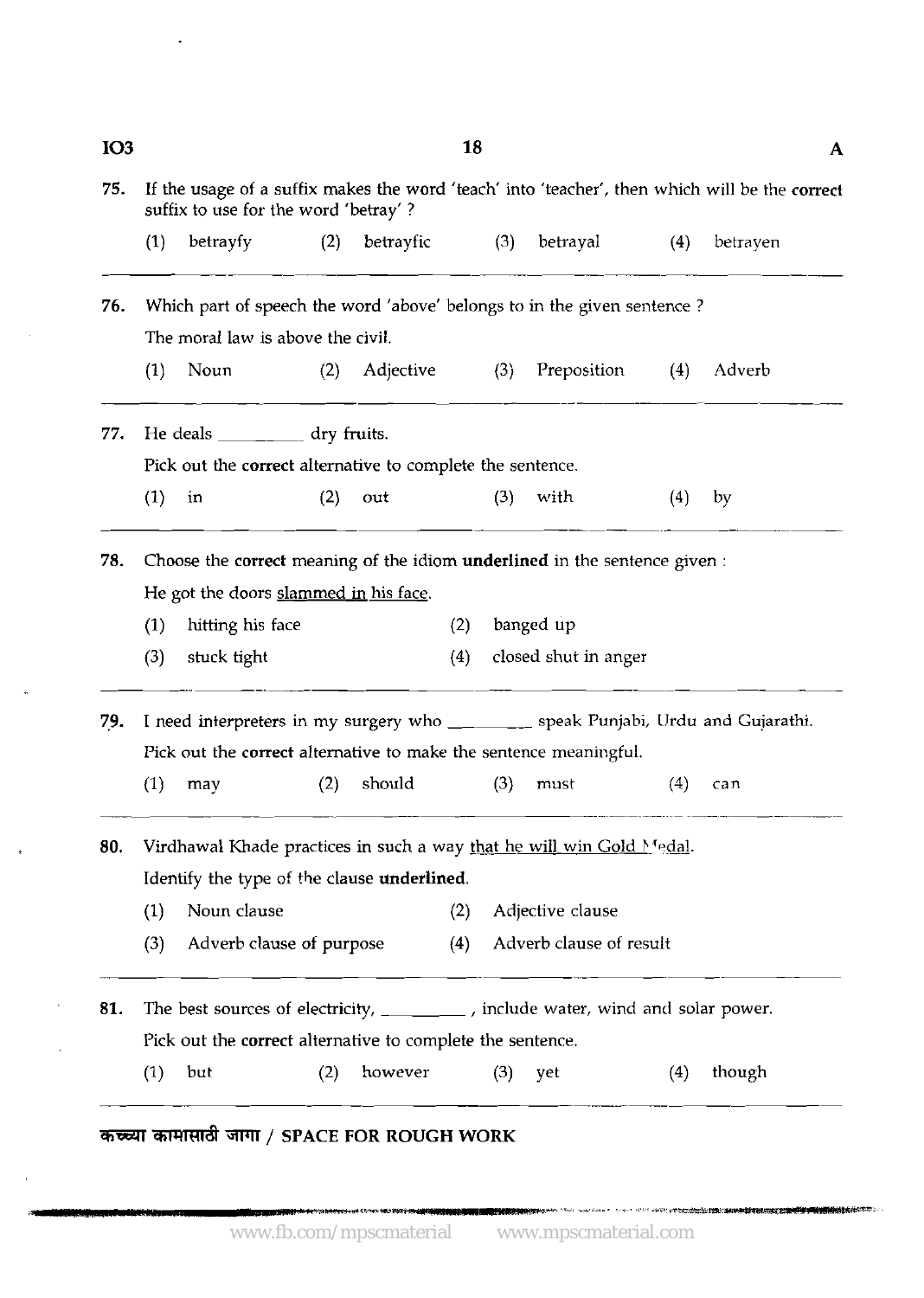| <b>IO3</b><br>75. |                                                                                                                                              | 18<br>A<br>If the usage of a suffix makes the word 'teach' into 'teacher', then which will be the correct<br>suffix to use for the word 'betray'? |     |           |     |     |                         |     |                                                                                  |  |  |  |  |
|-------------------|----------------------------------------------------------------------------------------------------------------------------------------------|---------------------------------------------------------------------------------------------------------------------------------------------------|-----|-----------|-----|-----|-------------------------|-----|----------------------------------------------------------------------------------|--|--|--|--|
|                   | (1)                                                                                                                                          | betrayfy                                                                                                                                          | (2) | betrayfic |     | (3) | betrayal                | (4) | betrayen                                                                         |  |  |  |  |
| 76.               |                                                                                                                                              | Which part of speech the word 'above' belongs to in the given sentence?                                                                           |     |           |     |     |                         |     |                                                                                  |  |  |  |  |
|                   |                                                                                                                                              | The moral law is above the civil.                                                                                                                 |     |           |     |     |                         |     |                                                                                  |  |  |  |  |
|                   | (1)                                                                                                                                          | Noun                                                                                                                                              | (2) | Adjective |     | (3) | Preposition             | (4) | Adverb                                                                           |  |  |  |  |
| 77.               |                                                                                                                                              | He deals ____________ dry fruits.                                                                                                                 |     |           |     |     |                         |     |                                                                                  |  |  |  |  |
|                   |                                                                                                                                              | Pick out the correct alternative to complete the sentence.                                                                                        |     |           |     |     |                         |     |                                                                                  |  |  |  |  |
|                   | (1)                                                                                                                                          | in                                                                                                                                                | (2) | out       |     | (3) | with                    | (4) | by                                                                               |  |  |  |  |
| 78.               |                                                                                                                                              | Choose the correct meaning of the idiom underlined in the sentence given :                                                                        |     |           |     |     |                         |     |                                                                                  |  |  |  |  |
|                   |                                                                                                                                              | He got the doors slammed in his face.                                                                                                             |     |           |     |     |                         |     |                                                                                  |  |  |  |  |
|                   | (1)                                                                                                                                          | hitting his face                                                                                                                                  |     |           | (2) |     | banged up               |     |                                                                                  |  |  |  |  |
|                   | (3)                                                                                                                                          | stuck tight                                                                                                                                       |     |           | (4) |     | closed shut in anger    |     |                                                                                  |  |  |  |  |
| 79.               |                                                                                                                                              |                                                                                                                                                   |     |           |     |     |                         |     | I need interpreters in my surgery who _______ speak Punjabi, Urdu and Gujarathi. |  |  |  |  |
|                   |                                                                                                                                              | Pick out the correct alternative to make the sentence meaningful.                                                                                 |     |           |     |     |                         |     |                                                                                  |  |  |  |  |
|                   | (1)                                                                                                                                          | may                                                                                                                                               | (2) | should    |     | (3) | must                    | (4) | can                                                                              |  |  |  |  |
| 80.               |                                                                                                                                              | Virdhawal Khade practices in such a way that he will win Gold Medal.                                                                              |     |           |     |     |                         |     |                                                                                  |  |  |  |  |
|                   |                                                                                                                                              | Identify the type of the clause underlined.                                                                                                       |     |           |     |     |                         |     |                                                                                  |  |  |  |  |
|                   | (1)                                                                                                                                          | Noun clause                                                                                                                                       |     |           | (2) |     | Adjective clause        |     |                                                                                  |  |  |  |  |
|                   | (3)                                                                                                                                          | Adverb clause of purpose                                                                                                                          |     |           | (4) |     | Adverb clause of result |     |                                                                                  |  |  |  |  |
|                   |                                                                                                                                              |                                                                                                                                                   |     |           |     |     |                         |     |                                                                                  |  |  |  |  |
|                   | The best sources of electricity, _______, include water, wind and solar power.<br>Pick out the correct alternative to complete the sentence. |                                                                                                                                                   |     |           |     |     |                         |     |                                                                                  |  |  |  |  |
| 81.               |                                                                                                                                              |                                                                                                                                                   |     |           |     |     |                         |     |                                                                                  |  |  |  |  |

www.fb.com/mpscmaterial www.mpscmaterial.com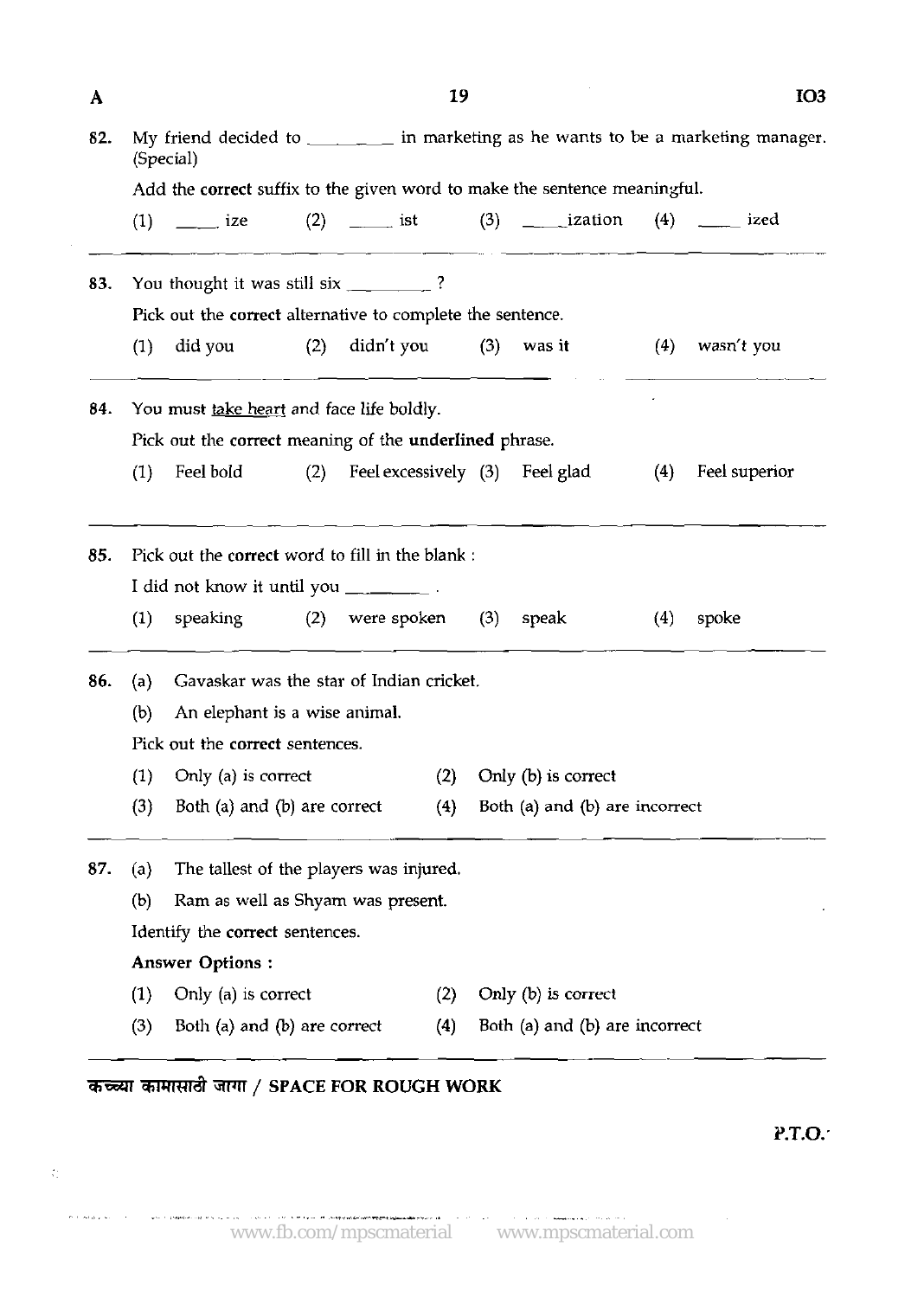|            |                                                                                                  |                                                                                                                                                                                                                                                                                                                                                                                                           |     | 19                                                                       |  |                                |     | IO <sub>3</sub> |  |  |  |  |  |
|------------|--------------------------------------------------------------------------------------------------|-----------------------------------------------------------------------------------------------------------------------------------------------------------------------------------------------------------------------------------------------------------------------------------------------------------------------------------------------------------------------------------------------------------|-----|--------------------------------------------------------------------------|--|--------------------------------|-----|-----------------|--|--|--|--|--|
| 82.        | My friend decided to __________ in marketing as he wants to be a marketing manager.<br>(Special) |                                                                                                                                                                                                                                                                                                                                                                                                           |     |                                                                          |  |                                |     |                 |  |  |  |  |  |
|            | Add the correct suffix to the given word to make the sentence meaningful.                        |                                                                                                                                                                                                                                                                                                                                                                                                           |     |                                                                          |  |                                |     |                 |  |  |  |  |  |
|            |                                                                                                  |                                                                                                                                                                                                                                                                                                                                                                                                           |     | (1) ______ ize $(2)$ ______ ist $(3)$ _______ ization $(4)$ _______ ized |  |                                |     |                 |  |  |  |  |  |
| 83.        |                                                                                                  | You thought it was still six _________?                                                                                                                                                                                                                                                                                                                                                                   |     |                                                                          |  |                                |     |                 |  |  |  |  |  |
|            |                                                                                                  |                                                                                                                                                                                                                                                                                                                                                                                                           |     | Pick out the correct alternative to complete the sentence.               |  |                                |     |                 |  |  |  |  |  |
|            | (1)                                                                                              | did you                                                                                                                                                                                                                                                                                                                                                                                                   | (2) | $\text{didn't you}$ (3) was it                                           |  |                                | (4) | wasn't you      |  |  |  |  |  |
| 84.        |                                                                                                  | You must take heart and face life boldly.                                                                                                                                                                                                                                                                                                                                                                 |     |                                                                          |  |                                |     |                 |  |  |  |  |  |
|            |                                                                                                  |                                                                                                                                                                                                                                                                                                                                                                                                           |     | Pick out the correct meaning of the underlined phrase.                   |  |                                |     |                 |  |  |  |  |  |
|            | (1)                                                                                              |                                                                                                                                                                                                                                                                                                                                                                                                           |     | Feel bold (2) Feel excessively (3) Feel glad                             |  |                                | (4) | Feel superior   |  |  |  |  |  |
| 85.        |                                                                                                  |                                                                                                                                                                                                                                                                                                                                                                                                           |     | Pick out the correct word to fill in the blank :                         |  |                                |     |                 |  |  |  |  |  |
|            |                                                                                                  |                                                                                                                                                                                                                                                                                                                                                                                                           |     |                                                                          |  |                                |     |                 |  |  |  |  |  |
|            |                                                                                                  | I did not know it until you $\frac{1}{\sqrt{1-\frac{1}{\sqrt{1-\frac{1}{\sqrt{1-\frac{1}{\sqrt{1-\frac{1}{\sqrt{1-\frac{1}{\sqrt{1-\frac{1}{\sqrt{1-\frac{1}{\sqrt{1-\frac{1}{\sqrt{1-\frac{1}{\sqrt{1-\frac{1}{\sqrt{1-\frac{1}{\sqrt{1-\frac{1}{\sqrt{1-\frac{1}{\sqrt{1-\frac{1}{\sqrt{1-\frac{1}{\sqrt{1-\frac{1}{\sqrt{1-\frac{1}{\sqrt{1-\frac{1}{\sqrt{1-\frac{1}{\sqrt{1-\frac{1}{\sqrt{1-\frac{$ |     |                                                                          |  |                                |     |                 |  |  |  |  |  |
|            | (1)                                                                                              |                                                                                                                                                                                                                                                                                                                                                                                                           |     | speaking $(2)$ were spoken $(3)$                                         |  | speak                          | (4) | spoke           |  |  |  |  |  |
|            | (a)                                                                                              |                                                                                                                                                                                                                                                                                                                                                                                                           |     | Gavaskar was the star of Indian cricket.                                 |  |                                |     |                 |  |  |  |  |  |
|            | (b)                                                                                              | An elephant is a wise animal.                                                                                                                                                                                                                                                                                                                                                                             |     |                                                                          |  |                                |     |                 |  |  |  |  |  |
|            |                                                                                                  | Pick out the correct sentences.                                                                                                                                                                                                                                                                                                                                                                           |     |                                                                          |  |                                |     |                 |  |  |  |  |  |
|            |                                                                                                  | $(1)$ Only $(a)$ is correct                                                                                                                                                                                                                                                                                                                                                                               |     |                                                                          |  | (2) Only (b) is correct        |     |                 |  |  |  |  |  |
|            | (3)                                                                                              | Both (a) and (b) are correct                                                                                                                                                                                                                                                                                                                                                                              |     | (4)                                                                      |  | Both (a) and (b) are incorrect |     |                 |  |  |  |  |  |
|            | (a)                                                                                              |                                                                                                                                                                                                                                                                                                                                                                                                           |     | The tallest of the players was injured.                                  |  |                                |     |                 |  |  |  |  |  |
|            | (b)                                                                                              | Ram as well as Shyam was present.                                                                                                                                                                                                                                                                                                                                                                         |     |                                                                          |  |                                |     |                 |  |  |  |  |  |
|            |                                                                                                  | Identify the correct sentences.                                                                                                                                                                                                                                                                                                                                                                           |     |                                                                          |  |                                |     |                 |  |  |  |  |  |
|            |                                                                                                  | <b>Answer Options:</b>                                                                                                                                                                                                                                                                                                                                                                                    |     |                                                                          |  |                                |     |                 |  |  |  |  |  |
| 86.<br>87. | (1)                                                                                              | Only (a) is correct                                                                                                                                                                                                                                                                                                                                                                                       |     | (2)                                                                      |  | Only $(b)$ is correct          |     |                 |  |  |  |  |  |

# *aF=W* **TFtTd** TFIT / **SPACE FOR ROUGH WORK**

 $\mathbb{C}^{\mathbb{Z}}$ 

 $\hat{\Theta}$  , the result galaxy from  $\hat{\phi}$  ,  $\hat{\phi}$  ,  $\hat{\phi}$  ,  $\hat{\phi}$  ,  $\hat{\phi}$  ,  $\hat{\phi}$  ,  $\hat{\phi}$ 

 $\bar{z}$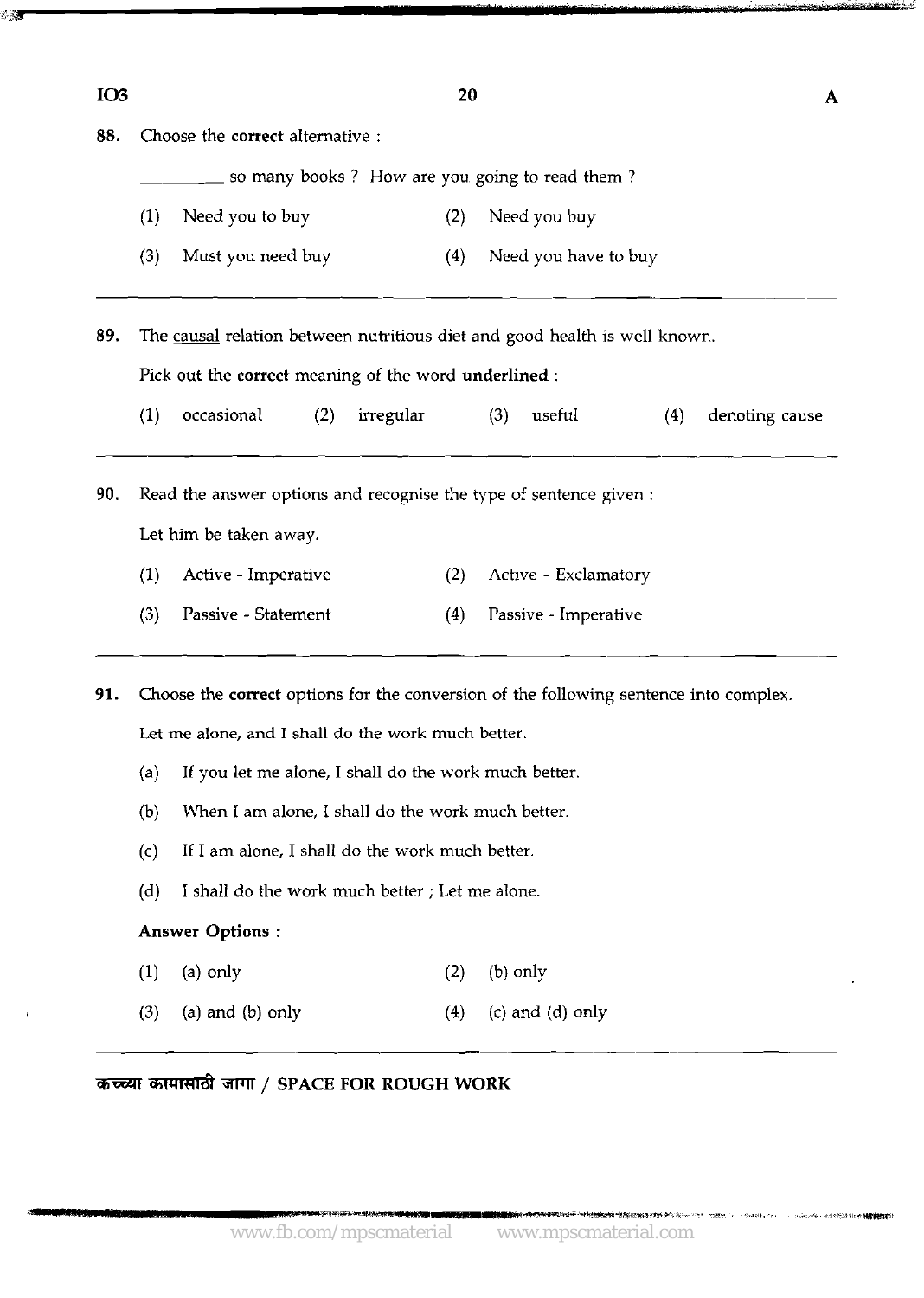| IO <sub>3</sub> | 20                                                                                    |                                                                            |           |                      |     |                |  |  |  |  |  |  |
|-----------------|---------------------------------------------------------------------------------------|----------------------------------------------------------------------------|-----------|----------------------|-----|----------------|--|--|--|--|--|--|
| 88.             | Choose the correct alternative :                                                      |                                                                            |           |                      |     |                |  |  |  |  |  |  |
|                 | so many books? How are you going to read them?                                        |                                                                            |           |                      |     |                |  |  |  |  |  |  |
|                 | (1)                                                                                   | Need you to buy                                                            | (2)       | Need you buy         |     |                |  |  |  |  |  |  |
|                 | (3)                                                                                   | Must you need buy                                                          | (4)       | Need you have to buy |     |                |  |  |  |  |  |  |
| 89.             |                                                                                       | The causal relation between nutritious diet and good health is well known. |           |                      |     |                |  |  |  |  |  |  |
|                 | Pick out the correct meaning of the word underlined :                                 |                                                                            |           |                      |     |                |  |  |  |  |  |  |
|                 | (1)                                                                                   | occasional<br>(2)                                                          | irregular | (3)<br>useful        | (4) | denoting cause |  |  |  |  |  |  |
| 90.             | Read the answer options and recognise the type of sentence given :                    |                                                                            |           |                      |     |                |  |  |  |  |  |  |
|                 | Let him be taken away.                                                                |                                                                            |           |                      |     |                |  |  |  |  |  |  |
|                 | (1)                                                                                   | Active - Imperative                                                        | (2)       | Active - Exclamatory |     |                |  |  |  |  |  |  |
|                 | (3)                                                                                   | Passive - Statement                                                        | (4)       | Passive - Imperative |     |                |  |  |  |  |  |  |
| 91.             | Choose the correct options for the conversion of the following sentence into complex. |                                                                            |           |                      |     |                |  |  |  |  |  |  |
|                 | Let me alone, and I shall do the work much better.                                    |                                                                            |           |                      |     |                |  |  |  |  |  |  |
|                 | (a)                                                                                   | If you let me alone, I shall do the work much better.                      |           |                      |     |                |  |  |  |  |  |  |
|                 | (b)                                                                                   | When I am alone, I shall do the work much better.                          |           |                      |     |                |  |  |  |  |  |  |
|                 | (c)                                                                                   | If I am alone, I shall do the work much better.                            |           |                      |     |                |  |  |  |  |  |  |
|                 | (d)                                                                                   | I shall do the work much better; Let me alone.                             |           |                      |     |                |  |  |  |  |  |  |
|                 |                                                                                       | <b>Answer Options:</b>                                                     |           |                      |     |                |  |  |  |  |  |  |
|                 | (1)                                                                                   | (a) only                                                                   | (2)       | $(b)$ only           |     |                |  |  |  |  |  |  |
|                 |                                                                                       |                                                                            |           |                      |     |                |  |  |  |  |  |  |

कच्च्या कामासाठी जागा / SPACE FOR ROUGH WORK

 $\mathbb{Z}$ 

**计内容变换的事例的对话 "你对这些现在的这样很高级的啊!怎么变不多?**我不知?"他一个说话说:"……今回去啊<sub>?""…………………………………………………**你都能会**的事情</sub>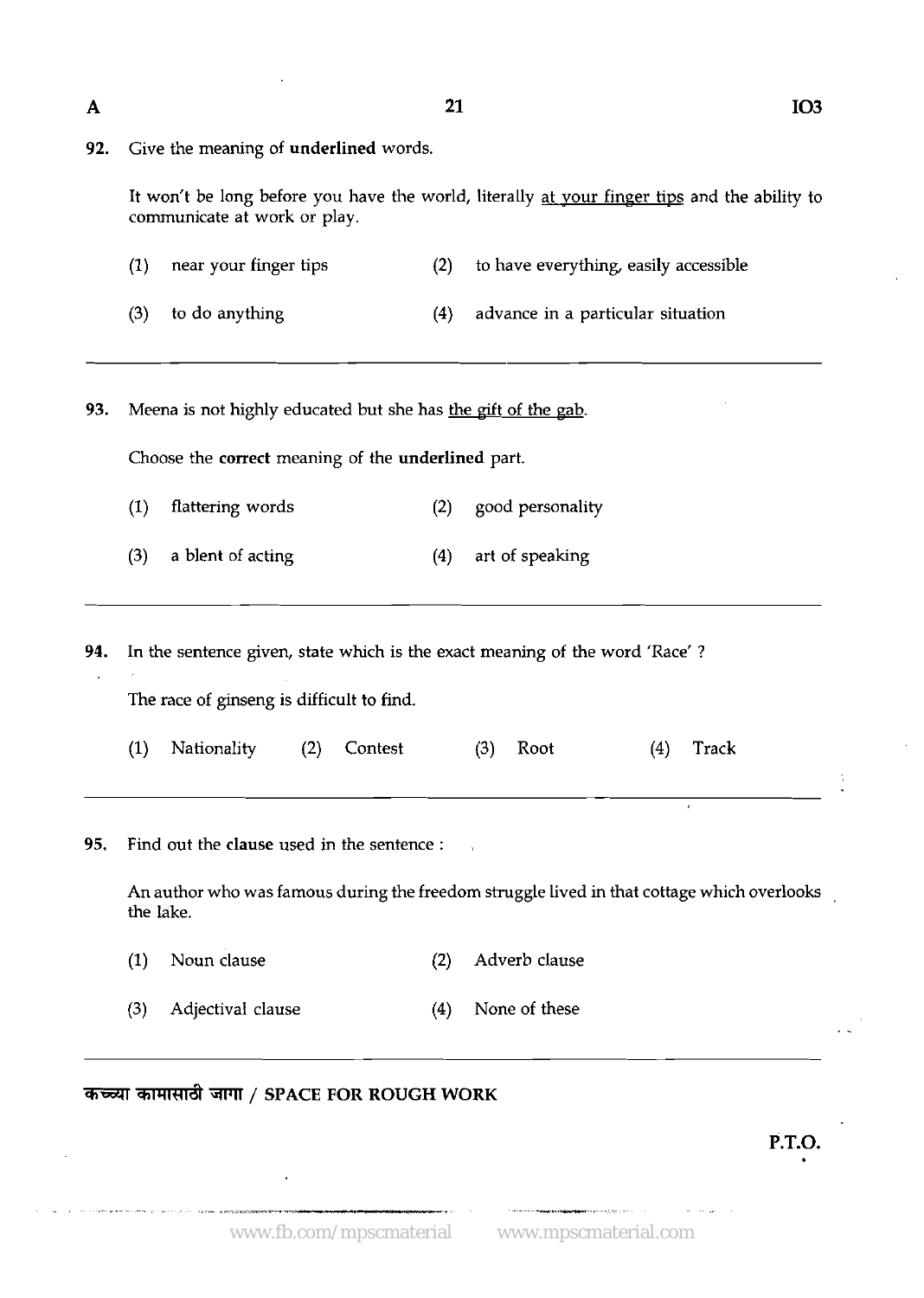**A** 21

|  |  |  |  |  | 92. Give the meaning of underlined words. |  |  |
|--|--|--|--|--|-------------------------------------------|--|--|
|--|--|--|--|--|-------------------------------------------|--|--|

It won't be long before you have the world, literally at your finger tips and the ability to communicate at work or play.

| $(1)$ near your finger tips | to have everything, easily accessible |
|-----------------------------|---------------------------------------|
| $(3)$ to do anything        | advance in a particular situation     |

- 
- **93.** Meena is not highly educated but she has the gift of the gab.

Choose the correct meaning of the underlined part.

- (1) flattering words (2) good personality
- (3) a blent of acting (4) art of speaking

**94.** In the sentence given, state which is the exact meaning of the word 'Race' ? The race of ginseng is difficult to find.

|  | (1) Nationality (2) Contest |  |  | $(3)$ Root |  |  | $(4)$ Track |  |
|--|-----------------------------|--|--|------------|--|--|-------------|--|
|--|-----------------------------|--|--|------------|--|--|-------------|--|

**95.** Find out the clause used in the sentence :

An author who was famous during the freedom struggle lived in that cottage which overlooks the lake.

- (1) Noun clause (2) Adverb clause
- **(3)** Adjectival clause (4) None of these

### कच्च्या कामासाठी जागा / SPACE FOR ROUGH WORK

**P.T.O.**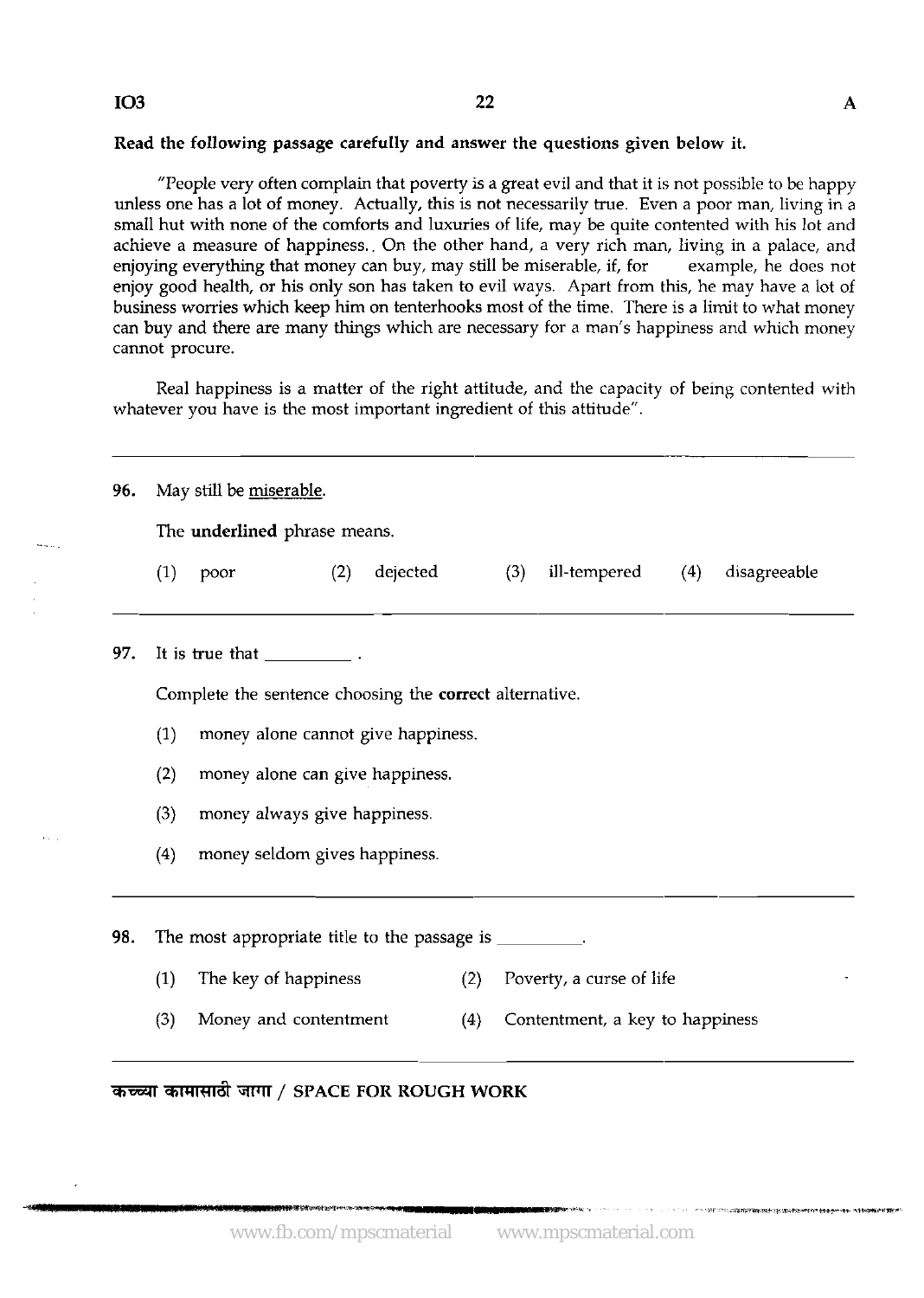#### **IO3**

#### Read the following passage carefully and answer the questions given below it.

"People very often complain that poverty is a great evil and that it is not possible to be happy unless one has a lot of money. Actually, this is not necessarily true. Even a poor man, living in a small hut with none of the comforts and luxuries of life, may be quite contented with his lot and achieve a measure of happiness.. On the other hand, a very rich man, living in a palace, and enjoying everything that money can buy, may still be miserable, if, for example, he does not enjoy good health, or his only son has taken to evil ways. Apart from this, he may have a lot of business worries which keep him on tenterhooks most of the time. There is a limit to what money can buy and there are many things which are necessary for a man's happiness and which money cannot procure.

Real happiness is a matter of the right attitude, and the capacity of being contented with whatever you have is the most important ingredient of this attitude".

| 96. | May still be miserable.                                                |                                    |     |          |     |     |                          |     |              |  |  |  |
|-----|------------------------------------------------------------------------|------------------------------------|-----|----------|-----|-----|--------------------------|-----|--------------|--|--|--|
|     | The underlined phrase means.                                           |                                    |     |          |     |     |                          |     |              |  |  |  |
|     | (1)                                                                    | poor                               | (2) | dejected |     | (3) | ill-tempered             | (4) | disagreeable |  |  |  |
| 97. |                                                                        |                                    |     |          |     |     |                          |     |              |  |  |  |
|     | Complete the sentence choosing the correct alternative.                |                                    |     |          |     |     |                          |     |              |  |  |  |
|     | (1)                                                                    | money alone cannot give happiness. |     |          |     |     |                          |     |              |  |  |  |
|     | (2)<br>money alone can give happiness.                                 |                                    |     |          |     |     |                          |     |              |  |  |  |
|     | (3)                                                                    | money always give happiness.       |     |          |     |     |                          |     |              |  |  |  |
|     | (4)                                                                    | money seldom gives happiness.      |     |          |     |     |                          |     |              |  |  |  |
| 98. | The most appropriate title to the passage is _________.                |                                    |     |          |     |     |                          |     |              |  |  |  |
|     | (1)                                                                    | The key of happiness               |     |          | (2) |     | Poverty, a curse of life |     |              |  |  |  |
|     | (3)<br>Money and contentment<br>Contentment, a key to happiness<br>(4) |                                    |     |          |     |     |                          |     |              |  |  |  |

### कच्च्या कामासाठी जागा / SPACE FOR ROUGH WORK

- ^ 1987年で+11.2000年10月10日10月10日に10月20日に東京大学校長の1000年に1000年に1000年に1000年に1000年に1000年に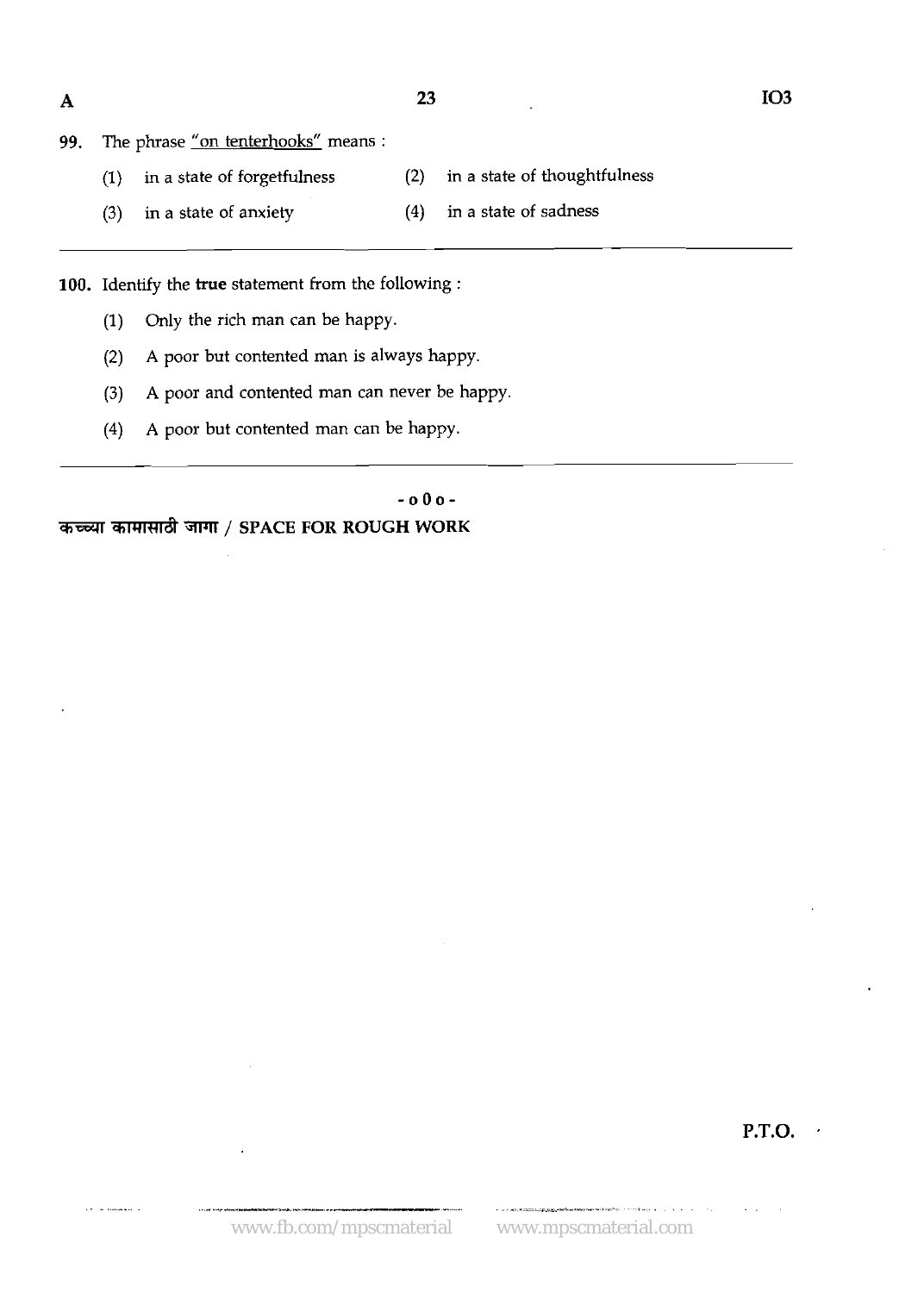$\mathbf{A}$ 

23

|  |  |  |  | 99. The phrase "on tenterhooks" means : |  |  |
|--|--|--|--|-----------------------------------------|--|--|
|--|--|--|--|-----------------------------------------|--|--|

- (1) in a state of forgetfulness (2) in a state of thoughtfulness
- (3) in a state of anxiety (4) in a state of sadness

100. Identify the **true** statement from the following :

- **(1)** Only the rich man can be happy.
- (2) A poor but contented man is always happy.
- (3) **A** poor and contented man can never be happy
- **(4)** A poor but contented man can be happy.

- **0 0 0** - कच्च्या कामासाठी जागा / SPACE FOR ROUGH WORK

**P.T.O.** 

...... ,.---.,.- .. .. ...~---- ,.,~ . , . .